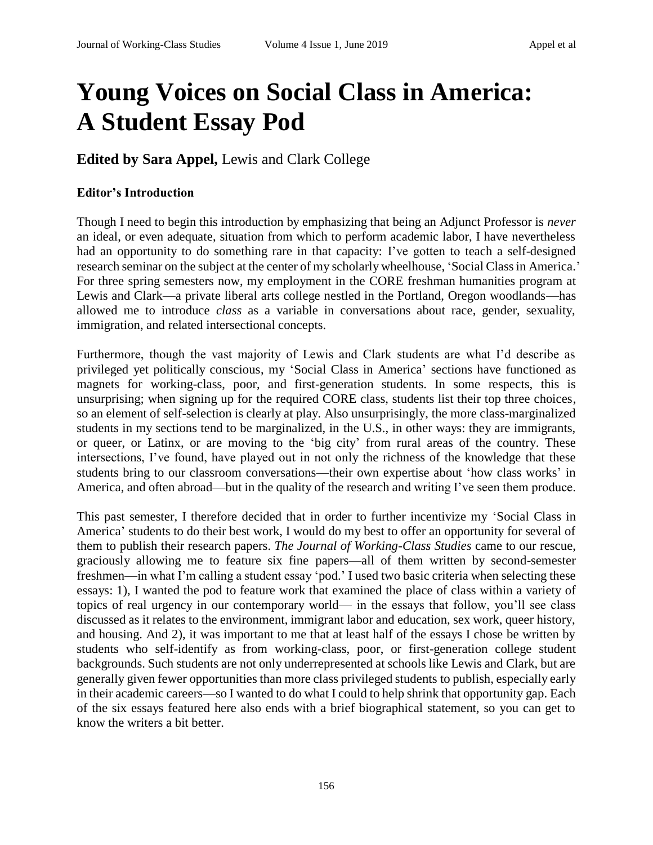# **Young Voices on Social Class in America: A Student Essay Pod**

# **Edited by Sara Appel,** Lewis and Clark College

## **Editor's Introduction**

Though I need to begin this introduction by emphasizing that being an Adjunct Professor is *never* an ideal, or even adequate, situation from which to perform academic labor, I have nevertheless had an opportunity to do something rare in that capacity: I've gotten to teach a self-designed research seminar on the subject at the center of my scholarly wheelhouse, 'Social Class in America.' For three spring semesters now, my employment in the CORE freshman humanities program at Lewis and Clark—a private liberal arts college nestled in the Portland, Oregon woodlands—has allowed me to introduce *class* as a variable in conversations about race, gender, sexuality, immigration, and related intersectional concepts.

Furthermore, though the vast majority of Lewis and Clark students are what I'd describe as privileged yet politically conscious, my 'Social Class in America' sections have functioned as magnets for working-class, poor, and first-generation students. In some respects, this is unsurprising; when signing up for the required CORE class, students list their top three choices, so an element of self-selection is clearly at play. Also unsurprisingly, the more class-marginalized students in my sections tend to be marginalized, in the U.S., in other ways: they are immigrants, or queer, or Latinx, or are moving to the 'big city' from rural areas of the country. These intersections, I've found, have played out in not only the richness of the knowledge that these students bring to our classroom conversations—their own expertise about 'how class works' in America, and often abroad—but in the quality of the research and writing I've seen them produce.

This past semester, I therefore decided that in order to further incentivize my 'Social Class in America' students to do their best work, I would do my best to offer an opportunity for several of them to publish their research papers. *The Journal of Working-Class Studies* came to our rescue, graciously allowing me to feature six fine papers—all of them written by second-semester freshmen—in what I'm calling a student essay 'pod.' I used two basic criteria when selecting these essays: 1), I wanted the pod to feature work that examined the place of class within a variety of topics of real urgency in our contemporary world— in the essays that follow, you'll see class discussed as it relates to the environment, immigrant labor and education, sex work, queer history, and housing. And 2), it was important to me that at least half of the essays I chose be written by students who self-identify as from working-class, poor, or first-generation college student backgrounds. Such students are not only underrepresented at schools like Lewis and Clark, but are generally given fewer opportunities than more class privileged students to publish, especially early in their academic careers—so I wanted to do what I could to help shrink that opportunity gap. Each of the six essays featured here also ends with a brief biographical statement, so you can get to know the writers a bit better.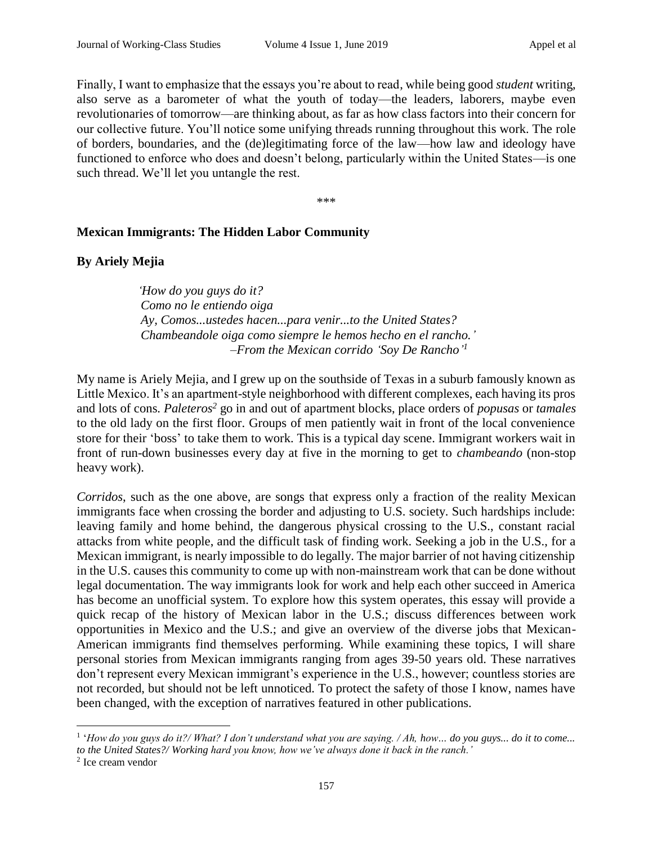Finally, I want to emphasize that the essays you're about to read, while being good *student* writing, also serve as a barometer of what the youth of today—the leaders, laborers, maybe even revolutionaries of tomorrow—are thinking about, as far as how class factors into their concern for our collective future. You'll notice some unifying threads running throughout this work. The role of borders, boundaries, and the (de)legitimating force of the law—how law and ideology have functioned to enforce who does and doesn't belong, particularly within the United States—is one such thread. We'll let you untangle the rest.

\*\*\*

#### **Mexican Immigrants: The Hidden Labor Community**

#### **By Ariely Mejia**

 *'How do you guys do it? Como no le entiendo oiga Ay, Comos...ustedes hacen...para venir...to the United States? Chambeandole oiga como siempre le hemos hecho en el rancho.' –From the Mexican corrido 'Soy De Rancho' 1*

My name is Ariely Mejia, and I grew up on the southside of Texas in a suburb famously known as Little Mexico. It's an apartment-style neighborhood with different complexes, each having its pros and lots of cons. *Paleteros<sup>2</sup>* go in and out of apartment blocks, place orders of *popusas* or *tamales* to the old lady on the first floor. Groups of men patiently wait in front of the local convenience store for their 'boss' to take them to work. This is a typical day scene. Immigrant workers wait in front of run-down businesses every day at five in the morning to get to *chambeando* (non-stop heavy work).

*Corridos*, such as the one above, are songs that express only a fraction of the reality Mexican immigrants face when crossing the border and adjusting to U.S. society. Such hardships include: leaving family and home behind, the dangerous physical crossing to the U.S., constant racial attacks from white people, and the difficult task of finding work. Seeking a job in the U.S., for a Mexican immigrant, is nearly impossible to do legally. The major barrier of not having citizenship in the U.S. causes this community to come up with non-mainstream work that can be done without legal documentation. The way immigrants look for work and help each other succeed in America has become an unofficial system. To explore how this system operates, this essay will provide a quick recap of the history of Mexican labor in the U.S.; discuss differences between work opportunities in Mexico and the U.S.; and give an overview of the diverse jobs that Mexican-American immigrants find themselves performing. While examining these topics, I will share personal stories from Mexican immigrants ranging from ages 39-50 years old. These narratives don't represent every Mexican immigrant's experience in the U.S., however; countless stories are not recorded, but should not be left unnoticed. To protect the safety of those I know, names have been changed, with the exception of narratives featured in other publications.

<sup>1</sup> '*How do you guys do it?/ What? I don't understand what you are saying. / Ah, how… do you guys... do it to come... to the United States?/ Working hard you know, how we've always done it back in the ranch.'*

<sup>2</sup> Ice cream vendor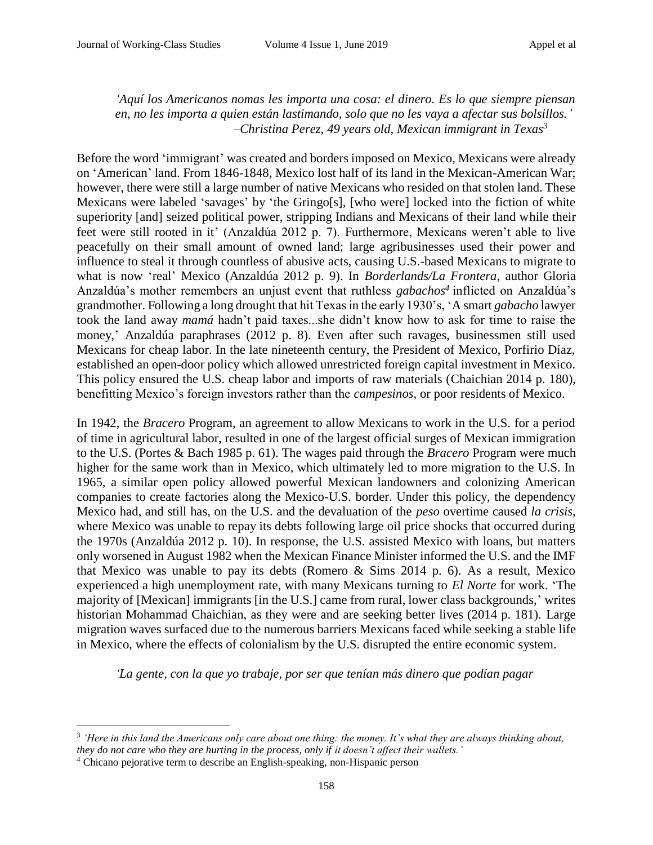#### *'Aquí los Americanos nomas les importa una cosa: el dinero. Es lo que siempre piensan en, no les importa a quien están lastimando, solo que no les vaya a afectar sus bolsillos.' –Christina Perez, 49 years old, Mexican immigrant in Texas<sup>3</sup>*

Before the word 'immigrant' was created and borders imposed on Mexico, Mexicans were already on 'American' land. From 1846-1848, Mexico lost half of its land in the Mexican-American War; however, there were still a large number of native Mexicans who resided on that stolen land. These Mexicans were labeled 'savages' by 'the Gringo[s], [who were] locked into the fiction of white superiority [and] seized political power, stripping Indians and Mexicans of their land while their feet were still rooted in it' (Anzaldúa 2012 p. 7). Furthermore, Mexicans weren't able to live peacefully on their small amount of owned land; large agribusinesses used their power and influence to steal it through countless of abusive acts, causing U.S.-based Mexicans to migrate to what is now 'real' Mexico (Anzaldúa 2012 p. 9). In *Borderlands/La Frontera*, author Gloria Anzaldúa's mother remembers an unjust event that ruthless *gabachos<sup>4</sup>* inflicted on Anzaldúa's grandmother. Following a long drought that hit Texas in the early 1930's, 'A smart *gabacho* lawyer took the land away *mamá* hadn't paid taxes...she didn't know how to ask for time to raise the money,' Anzaldúa paraphrases (2012 p. 8). Even after such ravages, businessmen still used Mexicans for cheap labor. In the late nineteenth century, the President of Mexico, Porfirio Díaz, established an open-door policy which allowed unrestricted foreign capital investment in Mexico. This policy ensured the U.S. cheap labor and imports of raw materials (Chaichian 2014 p. 180), benefitting Mexico's foreign investors rather than the *campesinos,* or poor residents of Mexico.

In 1942, the *Bracero* Program, an agreement to allow Mexicans to work in the U.S. for a period of time in agricultural labor, resulted in one of the largest official surges of Mexican immigration to the U.S. (Portes & Bach 1985 p. 61). The wages paid through the *Bracero* Program were much higher for the same work than in Mexico, which ultimately led to more migration to the U.S. In 1965, a similar open policy allowed powerful Mexican landowners and colonizing American companies to create factories along the Mexico-U.S. border. Under this policy, the dependency Mexico had, and still has, on the U.S. and the devaluation of the *peso* overtime caused *la crisis,*  where Mexico was unable to repay its debts following large oil price shocks that occurred during the 1970s (Anzaldúa 2012 p. 10). In response, the U.S. assisted Mexico with loans, but matters only worsened in August 1982 when the Mexican Finance Minister informed the U.S. and the IMF that Mexico was unable to pay its debts (Romero & Sims 2014 p. 6). As a result, Mexico experienced a high unemployment rate, with many Mexicans turning to *El Norte* for work. 'The majority of [Mexican] immigrants [in the U.S.] came from rural, lower class backgrounds,' writes historian Mohammad Chaichian, as they were and are seeking better lives (2014 p. 181). Large migration waves surfaced due to the numerous barriers Mexicans faced while seeking a stable life in Mexico, where the effects of colonialism by the U.S. disrupted the entire economic system.

*'La gente, con la que yo trabaje, por ser que tenían más dinero que podían pagar*

<sup>&</sup>lt;sup>3</sup> 'Here in this land the Americans only care about one thing: the money. It's what they are always thinking about, *they do not care who they are hurting in the process, only if it doesn't affect their wallets.'*

<sup>4</sup> Chicano pejorative term to describe an English-speaking, non-Hispanic person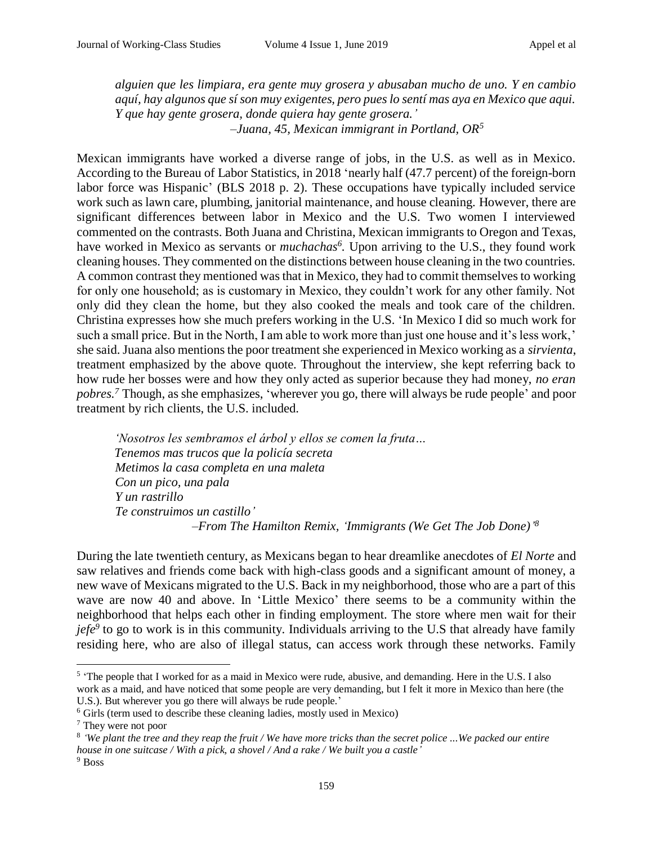*alguien que les limpiara, era gente muy grosera y abusaban mucho de uno. Y en cambio aquí, hay algunos que sí son muy exigentes, pero pues lo sentí mas aya en Mexico que aqui. Y que hay gente grosera, donde quiera hay gente grosera.' –Juana, 45, Mexican immigrant in Portland, OR<sup>5</sup>*

Mexican immigrants have worked a diverse range of jobs, in the U.S. as well as in Mexico. According to the Bureau of Labor Statistics, in 2018 'nearly half (47.7 percent) of the foreign-born labor force was Hispanic' (BLS 2018 p. 2). These occupations have typically included service work such as lawn care, plumbing, janitorial maintenance, and house cleaning. However, there are significant differences between labor in Mexico and the U.S. Two women I interviewed commented on the contrasts. Both Juana and Christina, Mexican immigrants to Oregon and Texas, have worked in Mexico as servants or *muchachas*<sup>6</sup>. Upon arriving to the U.S., they found work cleaning houses. They commented on the distinctions between house cleaning in the two countries. A common contrast they mentioned was that in Mexico, they had to commit themselves to working for only one household; as is customary in Mexico, they couldn't work for any other family. Not only did they clean the home, but they also cooked the meals and took care of the children. Christina expresses how she much prefers working in the U.S. 'In Mexico I did so much work for such a small price. But in the North, I am able to work more than just one house and it's less work,' she said. Juana also mentions the poor treatment she experienced in Mexico working as a *sirvienta*, treatment emphasized by the above quote. Throughout the interview, she kept referring back to how rude her bosses were and how they only acted as superior because they had money, *no eran pobres.<sup>7</sup>* Though, as she emphasizes, 'wherever you go, there will always be rude people' and poor treatment by rich clients, the U.S. included.

*'Nosotros les sembramos el árbol y ellos se comen la fruta… Tenemos mas trucos que la policía secreta Metimos la casa completa en una maleta Con un pico, una pala Y un rastrillo Te construimos un castillo' –From The Hamilton Remix, 'Immigrants (We Get The Job Done)' 8*

During the late twentieth century, as Mexicans began to hear dreamlike anecdotes of *El Norte* and saw relatives and friends come back with high-class goods and a significant amount of money, a new wave of Mexicans migrated to the U.S. Back in my neighborhood, those who are a part of this wave are now 40 and above. In 'Little Mexico' there seems to be a community within the neighborhood that helps each other in finding employment. The store where men wait for their *jefe<sup>9</sup>* to go to work is in this community. Individuals arriving to the U.S that already have family residing here, who are also of illegal status, can access work through these networks. Family

<sup>&</sup>lt;sup>5</sup> The people that I worked for as a maid in Mexico were rude, abusive, and demanding. Here in the U.S. I also work as a maid, and have noticed that some people are very demanding, but I felt it more in Mexico than here (the U.S.). But wherever you go there will always be rude people.'

<sup>6</sup> Girls (term used to describe these cleaning ladies, mostly used in Mexico)

<sup>7</sup> They were not poor

<sup>8</sup> *'We plant the tree and they reap the fruit / We have more tricks than the secret police ...We packed our entire house in one suitcase / With a pick, a shovel / And a rake / We built you a castle'* <sup>9</sup> Boss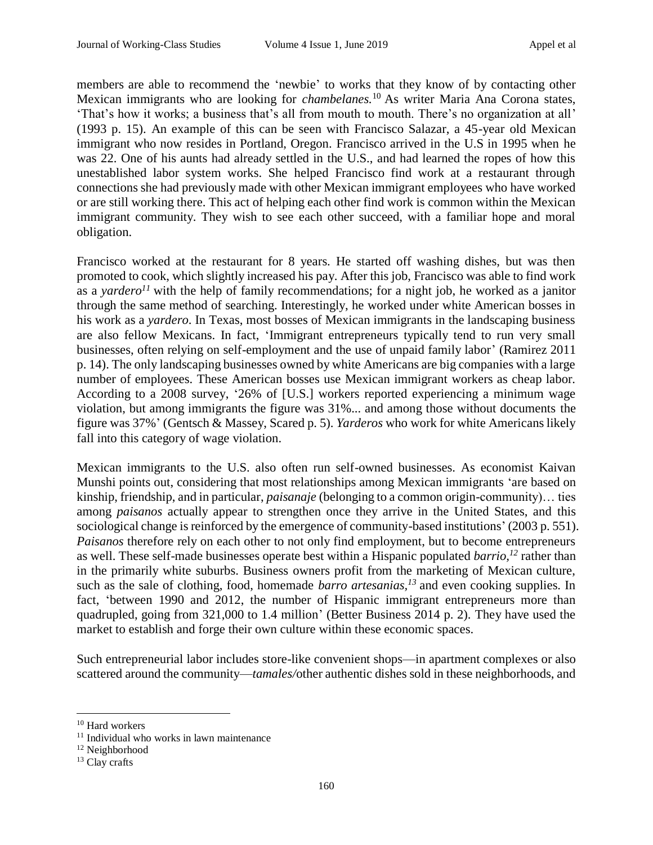members are able to recommend the 'newbie' to works that they know of by contacting other Mexican immigrants who are looking for *chambelanes.*<sup>10</sup> As writer Maria Ana Corona states, 'That's how it works; a business that's all from mouth to mouth. There's no organization at all' (1993 p. 15). An example of this can be seen with Francisco Salazar, a 45-year old Mexican immigrant who now resides in Portland, Oregon. Francisco arrived in the U.S in 1995 when he was 22. One of his aunts had already settled in the U.S., and had learned the ropes of how this unestablished labor system works. She helped Francisco find work at a restaurant through connections she had previously made with other Mexican immigrant employees who have worked or are still working there. This act of helping each other find work is common within the Mexican immigrant community. They wish to see each other succeed, with a familiar hope and moral obligation.

Francisco worked at the restaurant for 8 years. He started off washing dishes, but was then promoted to cook, which slightly increased his pay. After this job, Francisco was able to find work as a *yardero<sup>11</sup>* with the help of family recommendations; for a night job, he worked as a janitor through the same method of searching. Interestingly, he worked under white American bosses in his work as a *yardero*. In Texas, most bosses of Mexican immigrants in the landscaping business are also fellow Mexicans. In fact, 'Immigrant entrepreneurs typically tend to run very small businesses, often relying on self-employment and the use of unpaid family labor' (Ramirez 2011 p. 14). The only landscaping businesses owned by white Americans are big companies with a large number of employees. These American bosses use Mexican immigrant workers as cheap labor. According to a 2008 survey, '26% of [U.S.] workers reported experiencing a minimum wage violation, but among immigrants the figure was 31%... and among those without documents the figure was 37%' (Gentsch & Massey, Scared p. 5). *Yarderos* who work for white Americans likely fall into this category of wage violation.

Mexican immigrants to the U.S. also often run self-owned businesses. As economist Kaivan Munshi points out, considering that most relationships among Mexican immigrants 'are based on kinship, friendship, and in particular, *paisanaje* (belonging to a common origin-community)… ties among *paisanos* actually appear to strengthen once they arrive in the United States, and this sociological change is reinforced by the emergence of community-based institutions' (2003 p. 551). *Paisanos* therefore rely on each other to not only find employment, but to become entrepreneurs as well. These self-made businesses operate best within a Hispanic populated *barrio,<sup>12</sup>* rather than in the primarily white suburbs. Business owners profit from the marketing of Mexican culture, such as the sale of clothing, food, homemade *barro artesanias,<sup>13</sup>* and even cooking supplies. In fact, 'between 1990 and 2012, the number of Hispanic immigrant entrepreneurs more than quadrupled, going from 321,000 to 1.4 million' (Better Business 2014 p. 2). They have used the market to establish and forge their own culture within these economic spaces.

Such entrepreneurial labor includes store-like convenient shops—in apartment complexes or also scattered around the community—*tamales/*other authentic dishes sold in these neighborhoods, and

<sup>10</sup> Hard workers

<sup>&</sup>lt;sup>11</sup> Individual who works in lawn maintenance

<sup>&</sup>lt;sup>12</sup> Neighborhood

<sup>&</sup>lt;sup>13</sup> Clay crafts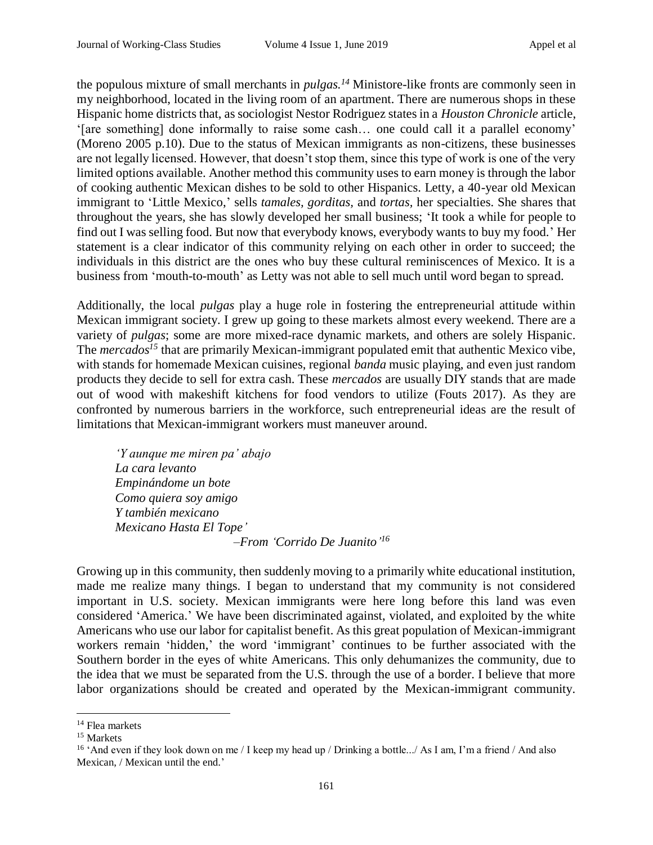the populous mixture of small merchants in *pulgas.<sup>14</sup>* Ministore-like fronts are commonly seen in my neighborhood, located in the living room of an apartment. There are numerous shops in these Hispanic home districts that, as sociologist Nestor Rodriguez states in a *Houston Chronicle* article, '[are something] done informally to raise some cash… one could call it a parallel economy' (Moreno 2005 p.10). Due to the status of Mexican immigrants as non-citizens, these businesses are not legally licensed. However, that doesn't stop them, since this type of work is one of the very limited options available. Another method this community uses to earn money is through the labor of cooking authentic Mexican dishes to be sold to other Hispanics. Letty, a 40-year old Mexican immigrant to 'Little Mexico,' sells *tamales, gorditas,* and *tortas,* her specialties. She shares that throughout the years, she has slowly developed her small business; 'It took a while for people to find out I was selling food. But now that everybody knows, everybody wants to buy my food.' Her statement is a clear indicator of this community relying on each other in order to succeed; the individuals in this district are the ones who buy these cultural reminiscences of Mexico. It is a business from 'mouth-to-mouth' as Letty was not able to sell much until word began to spread.

Additionally, the local *pulgas* play a huge role in fostering the entrepreneurial attitude within Mexican immigrant society. I grew up going to these markets almost every weekend. There are a variety of *pulgas*; some are more mixed-race dynamic markets, and others are solely Hispanic. The *mercados<sup>15</sup>* that are primarily Mexican-immigrant populated emit that authentic Mexico vibe, with stands for homemade Mexican cuisines, regional *banda* music playing, and even just random products they decide to sell for extra cash. These *mercados* are usually DIY stands that are made out of wood with makeshift kitchens for food vendors to utilize (Fouts 2017). As they are confronted by numerous barriers in the workforce, such entrepreneurial ideas are the result of limitations that Mexican-immigrant workers must maneuver around.

*'Y aunque me miren pa' abajo La cara levanto Empinándome un bote Como quiera soy amigo Y también mexicano Mexicano Hasta El Tope' –From 'Corrido De Juanito' 16*

Growing up in this community, then suddenly moving to a primarily white educational institution, made me realize many things. I began to understand that my community is not considered important in U.S. society. Mexican immigrants were here long before this land was even considered 'America.' We have been discriminated against, violated, and exploited by the white Americans who use our labor for capitalist benefit. As this great population of Mexican-immigrant workers remain 'hidden,' the word 'immigrant' continues to be further associated with the Southern border in the eyes of white Americans. This only dehumanizes the community, due to the idea that we must be separated from the U.S. through the use of a border. I believe that more labor organizations should be created and operated by the Mexican-immigrant community.

 $\overline{a}$ <sup>14</sup> Flea markets

<sup>15</sup> Markets

<sup>&</sup>lt;sup>16</sup> 'And even if they look down on me / I keep my head up / Drinking a bottle.../ As I am, I'm a friend / And also Mexican, / Mexican until the end.'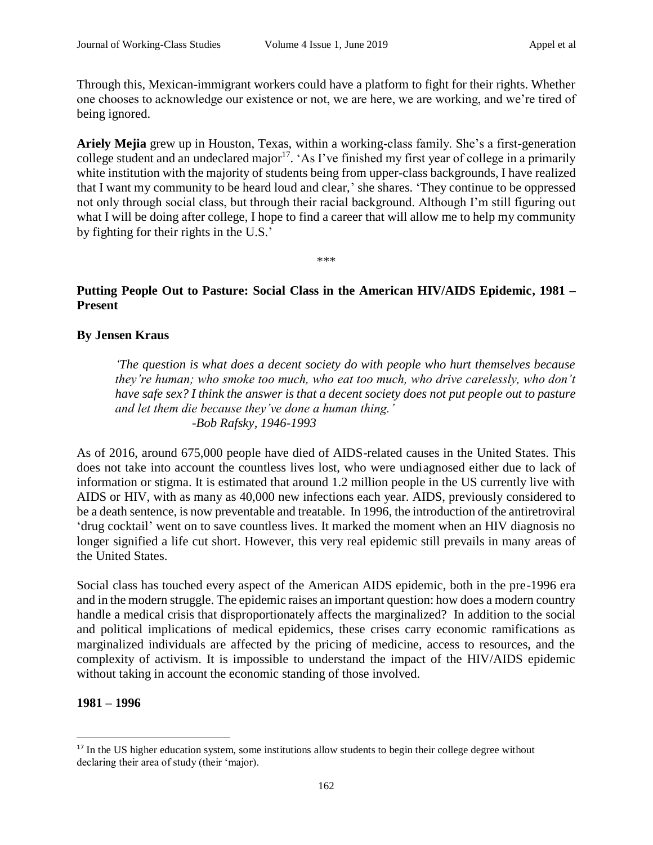Through this, Mexican-immigrant workers could have a platform to fight for their rights. Whether one chooses to acknowledge our existence or not, we are here, we are working, and we're tired of being ignored.

**Ariely Mejia** grew up in Houston, Texas, within a working-class family. She's a first-generation college student and an undeclared major<sup>17</sup>. 'As I've finished my first year of college in a primarily white institution with the majority of students being from upper-class backgrounds, I have realized that I want my community to be heard loud and clear,' she shares. 'They continue to be oppressed not only through social class, but through their racial background. Although I'm still figuring out what I will be doing after college, I hope to find a career that will allow me to help my community by fighting for their rights in the U.S.'

\*\*\*

## **Putting People Out to Pasture: Social Class in the American HIV/AIDS Epidemic, 1981 – Present**

#### **By Jensen Kraus**

*'The question is what does a decent society do with people who hurt themselves because they're human; who smoke too much, who eat too much, who drive carelessly, who don't have safe sex? I think the answer is that a decent society does not put people out to pasture and let them die because they've done a human thing.' -Bob Rafsky, 1946-1993*

As of 2016, around 675,000 people have died of AIDS-related causes in the United States. This does not take into account the countless lives lost, who were undiagnosed either due to lack of information or stigma. It is estimated that around 1.2 million people in the US currently live with AIDS or HIV, with as many as 40,000 new infections each year. AIDS, previously considered to be a death sentence, is now preventable and treatable. In 1996, the introduction of the antiretroviral 'drug cocktail' went on to save countless lives. It marked the moment when an HIV diagnosis no longer signified a life cut short. However, this very real epidemic still prevails in many areas of the United States.

Social class has touched every aspect of the American AIDS epidemic, both in the pre-1996 era and in the modern struggle. The epidemic raises an important question: how does a modern country handle a medical crisis that disproportionately affects the marginalized? In addition to the social and political implications of medical epidemics, these crises carry economic ramifications as marginalized individuals are affected by the pricing of medicine, access to resources, and the complexity of activism. It is impossible to understand the impact of the HIV/AIDS epidemic without taking in account the economic standing of those involved.

#### **1981 – 1996**

<sup>&</sup>lt;sup>17</sup> In the US higher education system, some institutions allow students to begin their college degree without declaring their area of study (their 'major).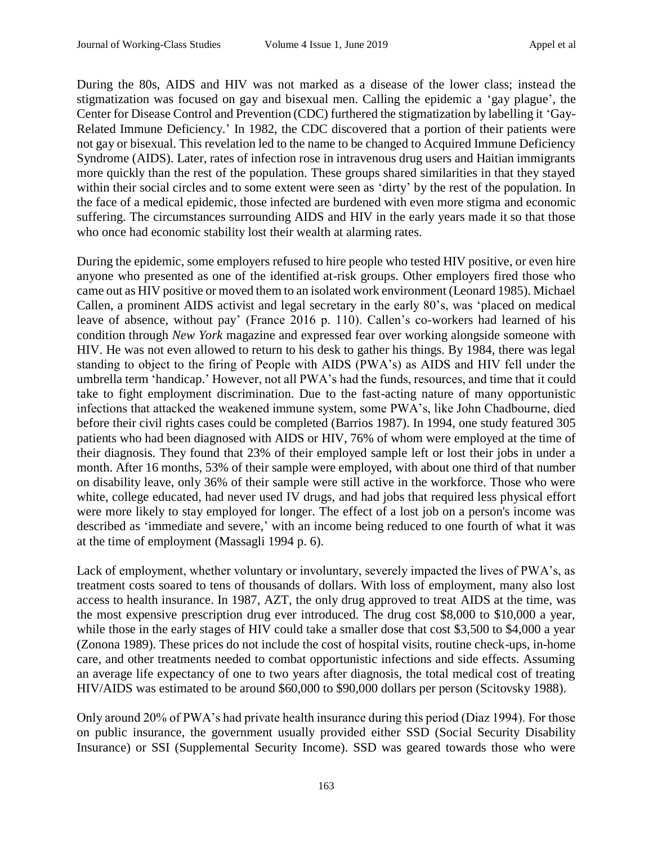During the 80s, AIDS and HIV was not marked as a disease of the lower class; instead the stigmatization was focused on gay and bisexual men. Calling the epidemic a 'gay plague', the Center for Disease Control and Prevention (CDC) furthered the stigmatization by labelling it 'Gay-Related Immune Deficiency.' In 1982, the CDC discovered that a portion of their patients were not gay or bisexual. This revelation led to the name to be changed to Acquired Immune Deficiency Syndrome (AIDS). Later, rates of infection rose in intravenous drug users and Haitian immigrants more quickly than the rest of the population. These groups shared similarities in that they stayed within their social circles and to some extent were seen as 'dirty' by the rest of the population. In the face of a medical epidemic, those infected are burdened with even more stigma and economic suffering. The circumstances surrounding AIDS and HIV in the early years made it so that those who once had economic stability lost their wealth at alarming rates.

During the epidemic, some employers refused to hire people who tested HIV positive, or even hire anyone who presented as one of the identified at-risk groups. Other employers fired those who came out as HIV positive or moved them to an isolated work environment (Leonard 1985). Michael Callen, a prominent AIDS activist and legal secretary in the early 80's, was 'placed on medical leave of absence, without pay' (France 2016 p. 110). Callen's co-workers had learned of his condition through *New York* magazine and expressed fear over working alongside someone with HIV. He was not even allowed to return to his desk to gather his things. By 1984, there was legal standing to object to the firing of People with AIDS (PWA's) as AIDS and HIV fell under the umbrella term 'handicap.' However, not all PWA's had the funds, resources, and time that it could take to fight employment discrimination. Due to the fast-acting nature of many opportunistic infections that attacked the weakened immune system, some PWA's, like John Chadbourne, died before their civil rights cases could be completed (Barrios 1987). In 1994, one study featured 305 patients who had been diagnosed with AIDS or HIV, 76% of whom were employed at the time of their diagnosis. They found that 23% of their employed sample left or lost their jobs in under a month. After 16 months, 53% of their sample were employed, with about one third of that number on disability leave, only 36% of their sample were still active in the workforce. Those who were white, college educated, had never used IV drugs, and had jobs that required less physical effort were more likely to stay employed for longer. The effect of a lost job on a person's income was described as 'immediate and severe,' with an income being reduced to one fourth of what it was at the time of employment (Massagli 1994 p. 6).

Lack of employment, whether voluntary or involuntary, severely impacted the lives of PWA's, as treatment costs soared to tens of thousands of dollars. With loss of employment, many also lost access to health insurance. In 1987, AZT, the only drug approved to treat AIDS at the time, was the most expensive prescription drug ever introduced. The drug cost \$8,000 to \$10,000 a year, while those in the early stages of HIV could take a smaller dose that cost \$3,500 to \$4,000 a year (Zonona 1989). These prices do not include the cost of hospital visits, routine check-ups, in-home care, and other treatments needed to combat opportunistic infections and side effects. Assuming an average life expectancy of one to two years after diagnosis, the total medical cost of treating HIV/AIDS was estimated to be around \$60,000 to \$90,000 dollars per person (Scitovsky 1988).

Only around 20% of PWA's had private health insurance during this period (Diaz 1994). For those on public insurance, the government usually provided either SSD (Social Security Disability Insurance) or SSI (Supplemental Security Income). SSD was geared towards those who were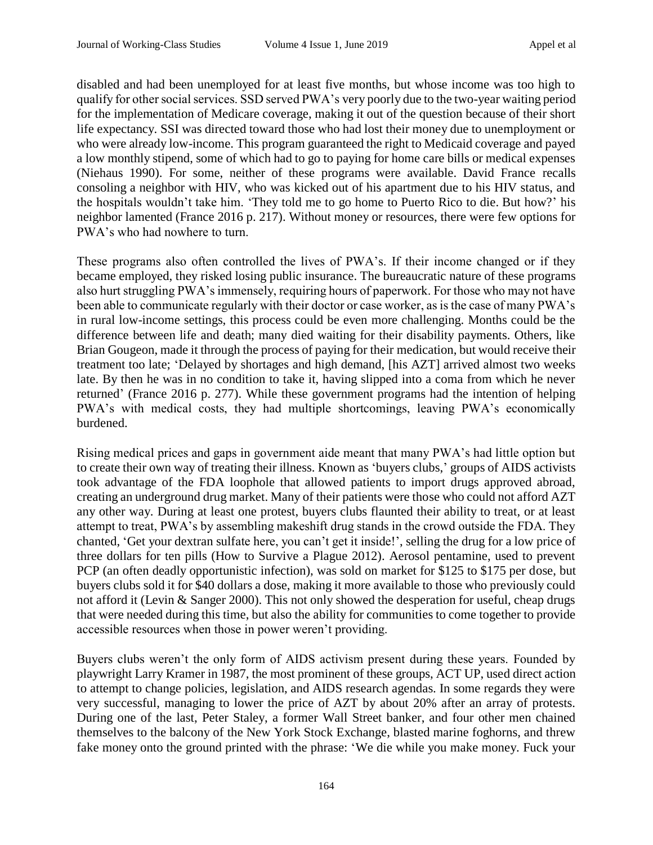disabled and had been unemployed for at least five months, but whose income was too high to qualify for other social services. SSD served PWA's very poorly due to the two-year waiting period for the implementation of Medicare coverage, making it out of the question because of their short life expectancy. SSI was directed toward those who had lost their money due to unemployment or who were already low-income. This program guaranteed the right to Medicaid coverage and payed a low monthly stipend, some of which had to go to paying for home care bills or medical expenses (Niehaus 1990). For some, neither of these programs were available. David France recalls consoling a neighbor with HIV, who was kicked out of his apartment due to his HIV status, and the hospitals wouldn't take him. 'They told me to go home to Puerto Rico to die. But how?' his neighbor lamented (France 2016 p. 217). Without money or resources, there were few options for PWA's who had nowhere to turn.

These programs also often controlled the lives of PWA's. If their income changed or if they became employed, they risked losing public insurance. The bureaucratic nature of these programs also hurt struggling PWA's immensely, requiring hours of paperwork. For those who may not have been able to communicate regularly with their doctor or case worker, as is the case of many PWA's in rural low-income settings, this process could be even more challenging. Months could be the difference between life and death; many died waiting for their disability payments. Others, like Brian Gougeon, made it through the process of paying for their medication, but would receive their treatment too late; 'Delayed by shortages and high demand, [his AZT] arrived almost two weeks late. By then he was in no condition to take it, having slipped into a coma from which he never returned' (France 2016 p. 277). While these government programs had the intention of helping PWA's with medical costs, they had multiple shortcomings, leaving PWA's economically burdened.

Rising medical prices and gaps in government aide meant that many PWA's had little option but to create their own way of treating their illness. Known as 'buyers clubs,' groups of AIDS activists took advantage of the FDA loophole that allowed patients to import drugs approved abroad, creating an underground drug market. Many of their patients were those who could not afford AZT any other way. During at least one protest, buyers clubs flaunted their ability to treat, or at least attempt to treat, PWA's by assembling makeshift drug stands in the crowd outside the FDA. They chanted, 'Get your dextran sulfate here, you can't get it inside!', selling the drug for a low price of three dollars for ten pills (How to Survive a Plague 2012). Aerosol pentamine, used to prevent PCP (an often deadly opportunistic infection), was sold on market for \$125 to \$175 per dose, but buyers clubs sold it for \$40 dollars a dose, making it more available to those who previously could not afford it (Levin & Sanger 2000). This not only showed the desperation for useful, cheap drugs that were needed during this time, but also the ability for communities to come together to provide accessible resources when those in power weren't providing.

Buyers clubs weren't the only form of AIDS activism present during these years. Founded by playwright Larry Kramer in 1987, the most prominent of these groups, ACT UP, used direct action to attempt to change policies, legislation, and AIDS research agendas. In some regards they were very successful, managing to lower the price of AZT by about 20% after an array of protests. During one of the last, Peter Staley, a former Wall Street banker, and four other men chained themselves to the balcony of the New York Stock Exchange, blasted marine foghorns, and threw fake money onto the ground printed with the phrase: 'We die while you make money. Fuck your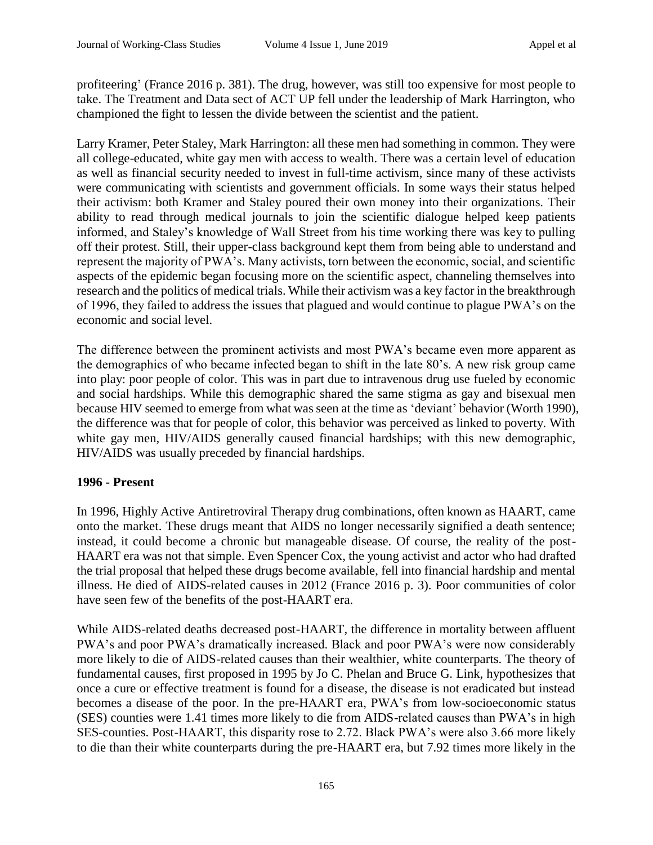profiteering' (France 2016 p. 381). The drug, however, was still too expensive for most people to take. The Treatment and Data sect of ACT UP fell under the leadership of Mark Harrington, who championed the fight to lessen the divide between the scientist and the patient.

Larry Kramer, Peter Staley, Mark Harrington: all these men had something in common. They were all college-educated, white gay men with access to wealth. There was a certain level of education as well as financial security needed to invest in full-time activism, since many of these activists were communicating with scientists and government officials. In some ways their status helped their activism: both Kramer and Staley poured their own money into their organizations. Their ability to read through medical journals to join the scientific dialogue helped keep patients informed, and Staley's knowledge of Wall Street from his time working there was key to pulling off their protest. Still, their upper-class background kept them from being able to understand and represent the majority of PWA's. Many activists, torn between the economic, social, and scientific aspects of the epidemic began focusing more on the scientific aspect, channeling themselves into research and the politics of medical trials. While their activism was a key factor in the breakthrough of 1996, they failed to address the issues that plagued and would continue to plague PWA's on the economic and social level.

The difference between the prominent activists and most PWA's became even more apparent as the demographics of who became infected began to shift in the late 80's. A new risk group came into play: poor people of color. This was in part due to intravenous drug use fueled by economic and social hardships. While this demographic shared the same stigma as gay and bisexual men because HIV seemed to emerge from what was seen at the time as 'deviant' behavior (Worth 1990), the difference was that for people of color, this behavior was perceived as linked to poverty. With white gay men, HIV/AIDS generally caused financial hardships; with this new demographic, HIV/AIDS was usually preceded by financial hardships.

# **1996 - Present**

In 1996, Highly Active Antiretroviral Therapy drug combinations, often known as HAART, came onto the market. These drugs meant that AIDS no longer necessarily signified a death sentence; instead, it could become a chronic but manageable disease. Of course, the reality of the post-HAART era was not that simple. Even Spencer Cox, the young activist and actor who had drafted the trial proposal that helped these drugs become available, fell into financial hardship and mental illness. He died of AIDS-related causes in 2012 (France 2016 p. 3). Poor communities of color have seen few of the benefits of the post-HAART era.

While AIDS-related deaths decreased post-HAART, the difference in mortality between affluent PWA's and poor PWA's dramatically increased. Black and poor PWA's were now considerably more likely to die of AIDS-related causes than their wealthier, white counterparts. The theory of fundamental causes, first proposed in 1995 by Jo C. Phelan and Bruce G. Link, hypothesizes that once a cure or effective treatment is found for a disease, the disease is not eradicated but instead becomes a disease of the poor. In the pre-HAART era, PWA's from low-socioeconomic status (SES) counties were 1.41 times more likely to die from AIDS-related causes than PWA's in high SES-counties. Post-HAART, this disparity rose to 2.72. Black PWA's were also 3.66 more likely to die than their white counterparts during the pre-HAART era, but 7.92 times more likely in the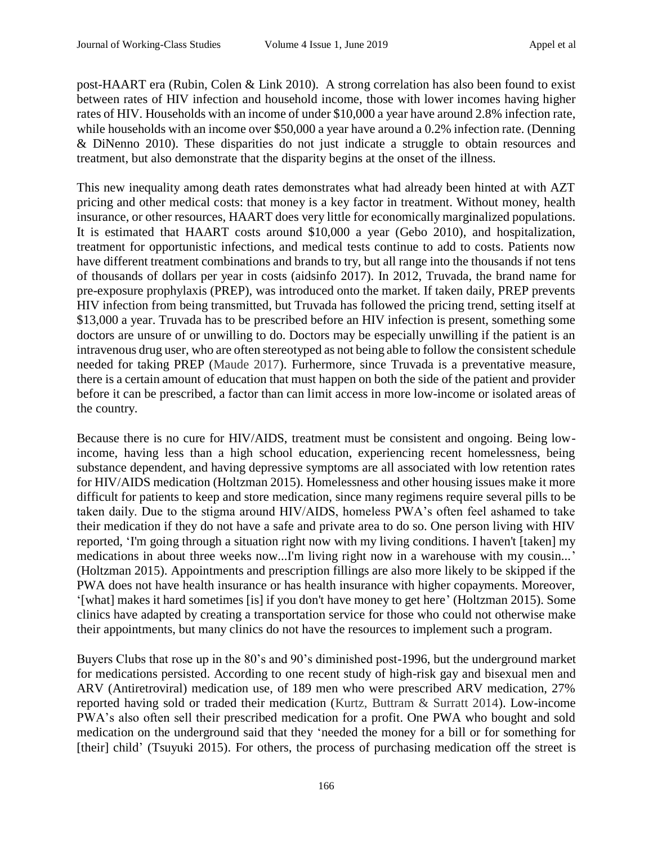post-HAART era (Rubin, Colen & Link 2010). A strong correlation has also been found to exist between rates of HIV infection and household income, those with lower incomes having higher rates of HIV. Households with an income of under \$10,000 a year have around 2.8% infection rate, while households with an income over \$50,000 a year have around a 0.2% infection rate. (Denning & DiNenno 2010). These disparities do not just indicate a struggle to obtain resources and treatment, but also demonstrate that the disparity begins at the onset of the illness.

This new inequality among death rates demonstrates what had already been hinted at with AZT pricing and other medical costs: that money is a key factor in treatment. Without money, health insurance, or other resources, HAART does very little for economically marginalized populations. It is estimated that HAART costs around \$10,000 a year (Gebo 2010), and hospitalization, treatment for opportunistic infections, and medical tests continue to add to costs. Patients now have different treatment combinations and brands to try, but all range into the thousands if not tens of thousands of dollars per year in costs (aidsinfo 2017). In 2012, Truvada, the brand name for pre-exposure prophylaxis (PREP), was introduced onto the market. If taken daily, PREP prevents HIV infection from being transmitted, but Truvada has followed the pricing trend, setting itself at \$13,000 a year. Truvada has to be prescribed before an HIV infection is present, something some doctors are unsure of or unwilling to do. Doctors may be especially unwilling if the patient is an intravenous drug user, who are often stereotyped as not being able to follow the consistent schedule needed for taking PREP (Maude 2017). Furhermore, since Truvada is a preventative measure, there is a certain amount of education that must happen on both the side of the patient and provider before it can be prescribed, a factor than can limit access in more low-income or isolated areas of the country.

Because there is no cure for HIV/AIDS, treatment must be consistent and ongoing. Being lowincome, having less than a high school education, experiencing recent homelessness, being substance dependent, and having depressive symptoms are all associated with low retention rates for HIV/AIDS medication (Holtzman 2015). Homelessness and other housing issues make it more difficult for patients to keep and store medication, since many regimens require several pills to be taken daily. Due to the stigma around HIV/AIDS, homeless PWA's often feel ashamed to take their medication if they do not have a safe and private area to do so. One person living with HIV reported, 'I'm going through a situation right now with my living conditions. I haven't [taken] my medications in about three weeks now...I'm living right now in a warehouse with my cousin...' (Holtzman 2015). Appointments and prescription fillings are also more likely to be skipped if the PWA does not have health insurance or has health insurance with higher copayments. Moreover, '[what] makes it hard sometimes [is] if you don't have money to get here' (Holtzman 2015). Some clinics have adapted by creating a transportation service for those who could not otherwise make their appointments, but many clinics do not have the resources to implement such a program.

Buyers Clubs that rose up in the 80's and 90's diminished post-1996, but the underground market for medications persisted. According to one recent study of high-risk gay and bisexual men and ARV (Antiretroviral) medication use, of 189 men who were prescribed ARV medication, 27% reported having sold or traded their medication (Kurtz, Buttram & Surratt 2014). Low-income PWA's also often sell their prescribed medication for a profit. One PWA who bought and sold medication on the underground said that they 'needed the money for a bill or for something for [their] child' (Tsuyuki 2015). For others, the process of purchasing medication off the street is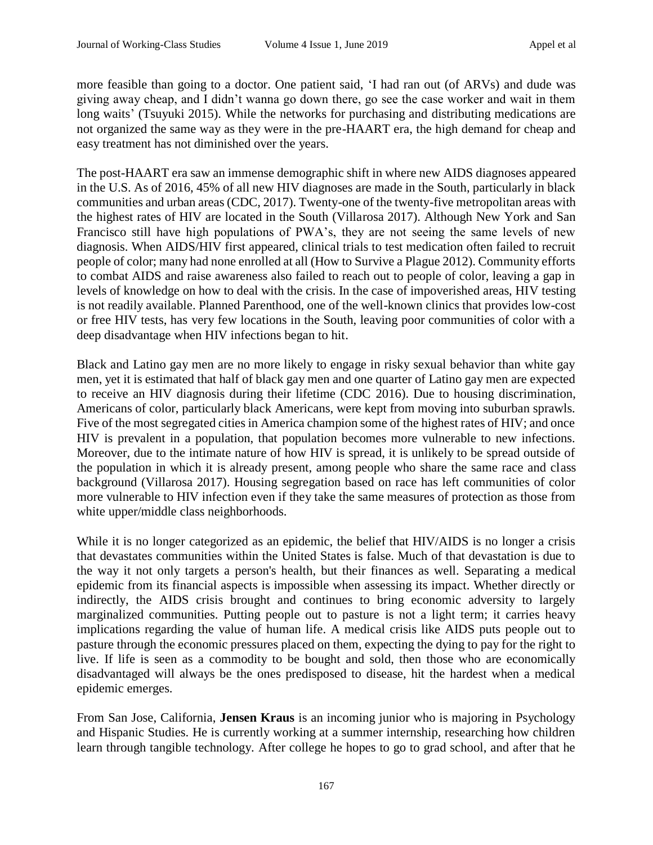more feasible than going to a doctor. One patient said, 'I had ran out (of ARVs) and dude was giving away cheap, and I didn't wanna go down there, go see the case worker and wait in them long waits' (Tsuyuki 2015). While the networks for purchasing and distributing medications are not organized the same way as they were in the pre-HAART era, the high demand for cheap and easy treatment has not diminished over the years.

The post-HAART era saw an immense demographic shift in where new AIDS diagnoses appeared in the U.S. As of 2016, 45% of all new HIV diagnoses are made in the South, particularly in black communities and urban areas (CDC, 2017). Twenty-one of the twenty-five metropolitan areas with the highest rates of HIV are located in the South (Villarosa 2017). Although New York and San Francisco still have high populations of PWA's, they are not seeing the same levels of new diagnosis. When AIDS/HIV first appeared, clinical trials to test medication often failed to recruit people of color; many had none enrolled at all (How to Survive a Plague 2012). Community efforts to combat AIDS and raise awareness also failed to reach out to people of color, leaving a gap in levels of knowledge on how to deal with the crisis. In the case of impoverished areas, HIV testing is not readily available. Planned Parenthood, one of the well-known clinics that provides low-cost or free HIV tests, has very few locations in the South, leaving poor communities of color with a deep disadvantage when HIV infections began to hit.

Black and Latino gay men are no more likely to engage in risky sexual behavior than white gay men, yet it is estimated that half of black gay men and one quarter of Latino gay men are expected to receive an HIV diagnosis during their lifetime (CDC 2016). Due to housing discrimination, Americans of color, particularly black Americans, were kept from moving into suburban sprawls. Five of the most segregated cities in America champion some of the highest rates of HIV; and once HIV is prevalent in a population, that population becomes more vulnerable to new infections. Moreover, due to the intimate nature of how HIV is spread, it is unlikely to be spread outside of the population in which it is already present, among people who share the same race and class background (Villarosa 2017). Housing segregation based on race has left communities of color more vulnerable to HIV infection even if they take the same measures of protection as those from white upper/middle class neighborhoods.

While it is no longer categorized as an epidemic, the belief that HIV/AIDS is no longer a crisis that devastates communities within the United States is false. Much of that devastation is due to the way it not only targets a person's health, but their finances as well. Separating a medical epidemic from its financial aspects is impossible when assessing its impact. Whether directly or indirectly, the AIDS crisis brought and continues to bring economic adversity to largely marginalized communities. Putting people out to pasture is not a light term; it carries heavy implications regarding the value of human life. A medical crisis like AIDS puts people out to pasture through the economic pressures placed on them, expecting the dying to pay for the right to live. If life is seen as a commodity to be bought and sold, then those who are economically disadvantaged will always be the ones predisposed to disease, hit the hardest when a medical epidemic emerges.

From San Jose, California, **Jensen Kraus** is an incoming junior who is majoring in Psychology and Hispanic Studies. He is currently working at a summer internship, researching how children learn through tangible technology. After college he hopes to go to grad school, and after that he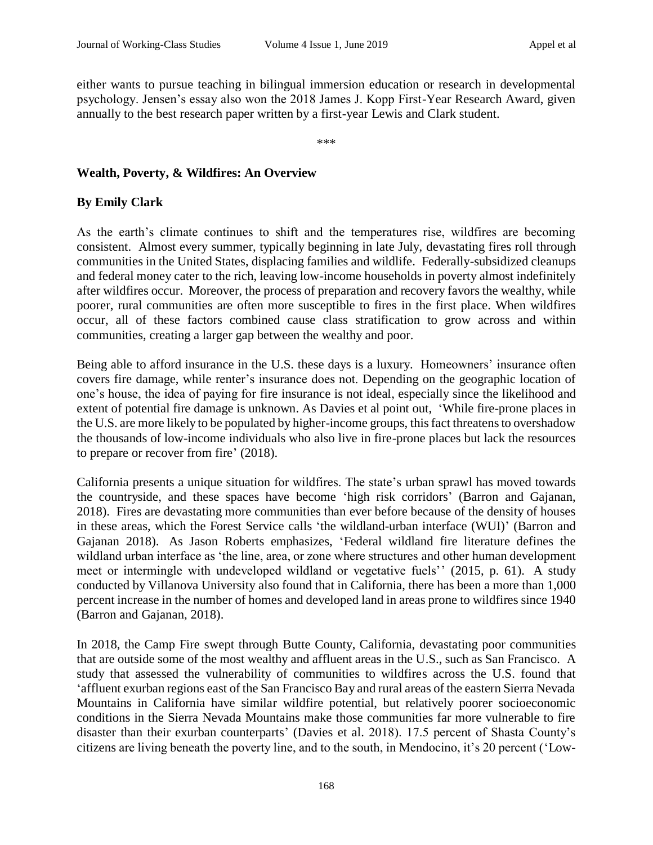either wants to pursue teaching in bilingual immersion education or research in developmental psychology. Jensen's essay also won the 2018 James J. Kopp First-Year Research Award, given annually to the best research paper written by a first-year Lewis and Clark student.

\*\*\*

#### **Wealth, Poverty, & Wildfires: An Overview**

## **By Emily Clark**

As the earth's climate continues to shift and the temperatures rise, wildfires are becoming consistent. Almost every summer, typically beginning in late July, devastating fires roll through communities in the United States, displacing families and wildlife. Federally-subsidized cleanups and federal money cater to the rich, leaving low-income households in poverty almost indefinitely after wildfires occur. Moreover, the process of preparation and recovery favors the wealthy, while poorer, rural communities are often more susceptible to fires in the first place. When wildfires occur, all of these factors combined cause class stratification to grow across and within communities, creating a larger gap between the wealthy and poor.

Being able to afford insurance in the U.S. these days is a luxury. Homeowners' insurance often covers fire damage, while renter's insurance does not. Depending on the geographic location of one's house, the idea of paying for fire insurance is not ideal, especially since the likelihood and extent of potential fire damage is unknown. As Davies et al point out, 'While fire-prone places in the U.S. are more likely to be populated by higher-income groups, this fact threatens to overshadow the thousands of low-income individuals who also live in fire-prone places but lack the resources to prepare or recover from fire' (2018).

California presents a unique situation for wildfires. The state's urban sprawl has moved towards the countryside, and these spaces have become 'high risk corridors' (Barron and Gajanan, 2018). Fires are devastating more communities than ever before because of the density of houses in these areas, which the Forest Service calls 'the wildland-urban interface (WUI)' (Barron and Gajanan 2018). As Jason Roberts emphasizes, 'Federal wildland fire literature defines the wildland urban interface as 'the line, area, or zone where structures and other human development meet or intermingle with undeveloped wildland or vegetative fuels'' (2015, p. 61). A study conducted by Villanova University also found that in California, there has been a more than 1,000 percent increase in the number of homes and developed land in areas prone to wildfires since 1940 (Barron and Gajanan, 2018).

In 2018, the Camp Fire swept through Butte County, California, devastating poor communities that are outside some of the most wealthy and affluent areas in the U.S., such as San Francisco. A study that assessed the vulnerability of communities to wildfires across the U.S. found that 'affluent exurban regions east of the San Francisco Bay and rural areas of the eastern Sierra Nevada Mountains in California have similar wildfire potential, but relatively poorer socioeconomic conditions in the Sierra Nevada Mountains make those communities far more vulnerable to fire disaster than their exurban counterparts' (Davies et al. 2018). 17.5 percent of Shasta County's citizens are living beneath the poverty line, and to the south, in Mendocino, it's 20 percent ('Low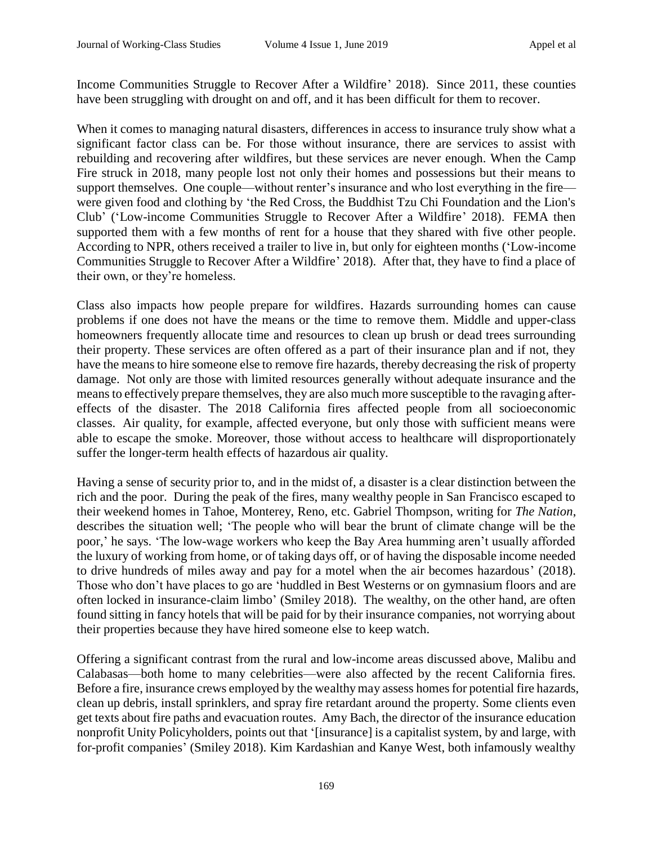Income Communities Struggle to Recover After a Wildfire' 2018). Since 2011, these counties have been struggling with drought on and off, and it has been difficult for them to recover.

When it comes to managing natural disasters, differences in access to insurance truly show what a significant factor class can be. For those without insurance, there are services to assist with rebuilding and recovering after wildfires, but these services are never enough. When the Camp Fire struck in 2018, many people lost not only their homes and possessions but their means to support themselves. One couple—without renter's insurance and who lost everything in the fire were given food and clothing by 'the Red Cross, the Buddhist Tzu Chi Foundation and the Lion's Club' ('Low-income Communities Struggle to Recover After a Wildfire' 2018). FEMA then supported them with a few months of rent for a house that they shared with five other people. According to NPR, others received a trailer to live in, but only for eighteen months ('Low-income Communities Struggle to Recover After a Wildfire' 2018). After that, they have to find a place of their own, or they're homeless.

Class also impacts how people prepare for wildfires. Hazards surrounding homes can cause problems if one does not have the means or the time to remove them. Middle and upper-class homeowners frequently allocate time and resources to clean up brush or dead trees surrounding their property. These services are often offered as a part of their insurance plan and if not, they have the means to hire someone else to remove fire hazards, thereby decreasing the risk of property damage. Not only are those with limited resources generally without adequate insurance and the means to effectively prepare themselves, they are also much more susceptible to the ravaging aftereffects of the disaster. The 2018 California fires affected people from all socioeconomic classes. Air quality, for example, affected everyone, but only those with sufficient means were able to escape the smoke. Moreover, those without access to healthcare will disproportionately suffer the longer-term health effects of hazardous air quality.

Having a sense of security prior to, and in the midst of, a disaster is a clear distinction between the rich and the poor. During the peak of the fires, many wealthy people in San Francisco escaped to their weekend homes in Tahoe, Monterey, Reno, etc. Gabriel Thompson, writing for *The Nation*, describes the situation well; 'The people who will bear the brunt of climate change will be the poor,' he says. 'The low-wage workers who keep the Bay Area humming aren't usually afforded the luxury of working from home, or of taking days off, or of having the disposable income needed to drive hundreds of miles away and pay for a motel when the air becomes hazardous' (2018). Those who don't have places to go are 'huddled in Best Westerns or on gymnasium floors and are often locked in insurance-claim limbo' (Smiley 2018). The wealthy, on the other hand, are often found sitting in fancy hotels that will be paid for by their insurance companies, not worrying about their properties because they have hired someone else to keep watch.

Offering a significant contrast from the rural and low-income areas discussed above, Malibu and Calabasas—both home to many celebrities—were also affected by the recent California fires. Before a fire, insurance crews employed by the wealthy may assess homes for potential fire hazards, clean up debris, install sprinklers, and spray fire retardant around the property. Some clients even get texts about fire paths and evacuation routes. Amy Bach, the director of the insurance education nonprofit Unity Policyholders, points out that '[insurance] is a capitalist system, by and large, with for-profit companies' (Smiley 2018). Kim Kardashian and Kanye West, both infamously wealthy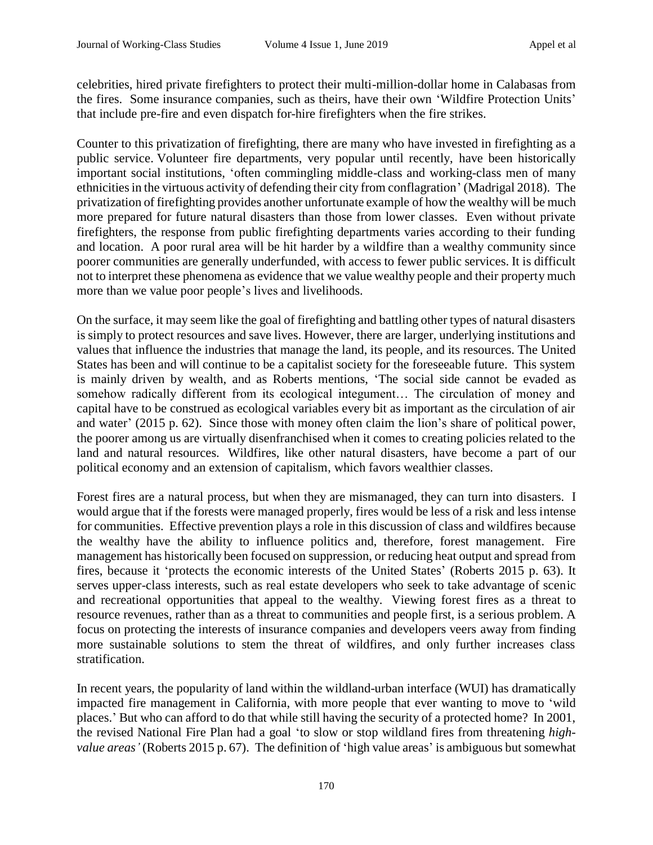celebrities, hired private firefighters to protect their multi-million-dollar home in Calabasas from the fires. Some insurance companies, such as theirs, have their own 'Wildfire Protection Units' that include pre-fire and even dispatch for-hire firefighters when the fire strikes.

Counter to this privatization of firefighting, there are many who have invested in firefighting as a public service. Volunteer fire departments, very popular until recently, have been historically important social institutions, 'often commingling middle-class and working-class men of many ethnicities in the virtuous activity of defending their city from conflagration' (Madrigal 2018). The privatization of firefighting provides another unfortunate example of how the wealthy will be much more prepared for future natural disasters than those from lower classes. Even without private firefighters, the response from public firefighting departments varies according to their funding and location. A poor rural area will be hit harder by a wildfire than a wealthy community since poorer communities are generally underfunded, with access to fewer public services. It is difficult not to interpret these phenomena as evidence that we value wealthy people and their property much more than we value poor people's lives and livelihoods.

On the surface, it may seem like the goal of firefighting and battling other types of natural disasters is simply to protect resources and save lives. However, there are larger, underlying institutions and values that influence the industries that manage the land, its people, and its resources. The United States has been and will continue to be a capitalist society for the foreseeable future. This system is mainly driven by wealth, and as Roberts mentions, 'The social side cannot be evaded as somehow radically different from its ecological integument… The circulation of money and capital have to be construed as ecological variables every bit as important as the circulation of air and water' (2015 p. 62). Since those with money often claim the lion's share of political power, the poorer among us are virtually disenfranchised when it comes to creating policies related to the land and natural resources. Wildfires, like other natural disasters, have become a part of our political economy and an extension of capitalism, which favors wealthier classes.

Forest fires are a natural process, but when they are mismanaged, they can turn into disasters. I would argue that if the forests were managed properly, fires would be less of a risk and less intense for communities. Effective prevention plays a role in this discussion of class and wildfires because the wealthy have the ability to influence politics and, therefore, forest management. Fire management has historically been focused on suppression, or reducing heat output and spread from fires, because it 'protects the economic interests of the United States' (Roberts 2015 p. 63). It serves upper-class interests, such as real estate developers who seek to take advantage of scenic and recreational opportunities that appeal to the wealthy. Viewing forest fires as a threat to resource revenues, rather than as a threat to communities and people first, is a serious problem. A focus on protecting the interests of insurance companies and developers veers away from finding more sustainable solutions to stem the threat of wildfires, and only further increases class stratification.

In recent years, the popularity of land within the wildland-urban interface (WUI) has dramatically impacted fire management in California, with more people that ever wanting to move to 'wild places.' But who can afford to do that while still having the security of a protected home? In 2001, the revised National Fire Plan had a goal 'to slow or stop wildland fires from threatening *highvalue areas'* (Roberts 2015 p. 67). The definition of 'high value areas' is ambiguous but somewhat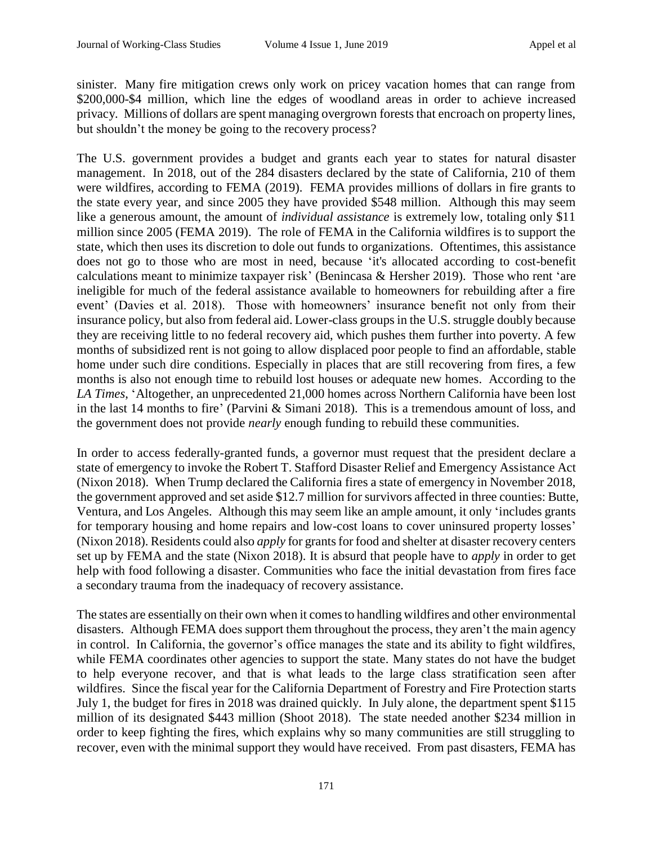sinister. Many fire mitigation crews only work on pricey vacation homes that can range from \$200,000-\$4 million, which line the edges of woodland areas in order to achieve increased privacy. Millions of dollars are spent managing overgrown forests that encroach on property lines, but shouldn't the money be going to the recovery process?

The U.S. government provides a budget and grants each year to states for natural disaster management. In 2018, out of the 284 disasters declared by the state of California, 210 of them were wildfires, according to FEMA (2019). FEMA provides millions of dollars in fire grants to the state every year, and since 2005 they have provided \$548 million. Although this may seem like a generous amount, the amount of *individual assistance* is extremely low, totaling only \$11 million since 2005 (FEMA 2019). The role of FEMA in the California wildfires is to support the state, which then uses its discretion to dole out funds to organizations. Oftentimes, this assistance does not go to those who are most in need, because 'it's allocated according to cost-benefit calculations meant to minimize taxpayer risk' (Benincasa & Hersher 2019). Those who rent 'are ineligible for much of the federal assistance available to homeowners for rebuilding after a fire event' (Davies et al. 2018). Those with homeowners' insurance benefit not only from their insurance policy, but also from federal aid. Lower-class groups in the U.S. struggle doubly because they are receiving little to no federal recovery aid, which pushes them further into poverty. A few months of subsidized rent is not going to allow displaced poor people to find an affordable, stable home under such dire conditions. Especially in places that are still recovering from fires, a few months is also not enough time to rebuild lost houses or adequate new homes. According to the *LA Times*, 'Altogether, an [unprecedented 21,000 homes](https://www.latimes.com/politics/la-pol-ca-housing-problems-wildfires-20181205-story.html) across Northern California have been lost in the last 14 months to fire' (Parvini & Simani 2018). This is a tremendous amount of loss, and the government does not provide *nearly* enough funding to rebuild these communities.

In order to access federally-granted funds, a governor must request that the president declare a state of emergency to invoke the Robert T. Stafford Disaster Relief and Emergency Assistance Act (Nixon 2018). When Trump declared the California fires a state of emergency in November 2018, the government approved and set aside \$12.7 million for survivors affected in three counties: Butte, Ventura, and Los Angeles. Although this may seem like an ample amount, it only 'includes grants for temporary housing and home repairs and low-cost loans to cover uninsured property losses' (Nixon 2018). Residents could also *apply* for grants for food and shelter at disaster recovery centers set up by FEMA and the state (Nixon 2018). It is absurd that people have to *apply* in order to get help with food following a disaster. Communities who face the initial devastation from fires face a secondary trauma from the inadequacy of recovery assistance.

The states are essentially on their own when it comes to handling wildfires and other environmental disasters. Although FEMA does support them throughout the process, they aren't the main agency in control. In California, the governor's office manages the state and its ability to fight wildfires, while FEMA coordinates other agencies to support the state. Many states do not have the budget to help everyone recover, and that is what leads to the large class stratification seen after wildfires. Since the fiscal year for the California Department of Forestry and Fire Protection starts July 1, the budget for fires in 2018 was drained quickly. In July alone, the department spent \$115 million of its designated \$443 million (Shoot 2018). The state needed another \$234 million in order to keep fighting the fires, which explains why so many communities are still struggling to recover, even with the minimal support they would have received. From past disasters, FEMA has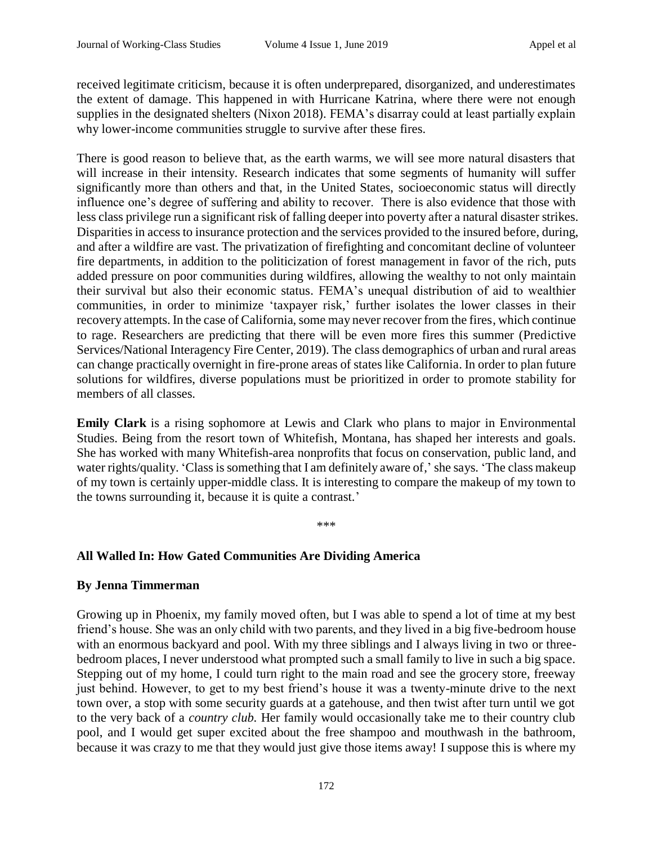received legitimate criticism, because it is often underprepared, disorganized, and underestimates the extent of damage. This happened in with Hurricane Katrina, where there were not enough supplies in the designated shelters (Nixon 2018). FEMA's disarray could at least partially explain why lower-income communities struggle to survive after these fires.

There is good reason to believe that, as the earth warms, we will see more natural disasters that will increase in their intensity. Research indicates that some segments of humanity will suffer significantly more than others and that, in the United States, socioeconomic status will directly influence one's degree of suffering and ability to recover. There is also evidence that those with less class privilege run a significant risk of falling deeper into poverty after a natural disaster strikes. Disparities in access to insurance protection and the services provided to the insured before, during, and after a wildfire are vast. The privatization of firefighting and concomitant decline of volunteer fire departments, in addition to the politicization of forest management in favor of the rich, puts added pressure on poor communities during wildfires, allowing the wealthy to not only maintain their survival but also their economic status. FEMA's unequal distribution of aid to wealthier communities, in order to minimize 'taxpayer risk,' further isolates the lower classes in their recovery attempts. In the case of California, some may never recover from the fires, which continue to rage. Researchers are predicting that there will be even more fires this summer (Predictive Services/National Interagency Fire Center, 2019). The class demographics of urban and rural areas can change practically overnight in fire-prone areas of states like California. In order to plan future solutions for wildfires, diverse populations must be prioritized in order to promote stability for members of all classes.

**Emily Clark** is a rising sophomore at Lewis and Clark who plans to major in Environmental Studies. Being from the resort town of Whitefish, Montana, has shaped her interests and goals. She has worked with many Whitefish-area nonprofits that focus on conservation, public land, and water rights/quality. 'Class is something that I am definitely aware of,' she says. 'The class makeup of my town is certainly upper-middle class. It is interesting to compare the makeup of my town to the towns surrounding it, because it is quite a contrast.'

\*\*\*

# **All Walled In: How Gated Communities Are Dividing America**

# **By Jenna Timmerman**

Growing up in Phoenix, my family moved often, but I was able to spend a lot of time at my best friend's house. She was an only child with two parents, and they lived in a big five-bedroom house with an enormous backyard and pool. With my three siblings and I always living in two or threebedroom places, I never understood what prompted such a small family to live in such a big space. Stepping out of my home, I could turn right to the main road and see the grocery store, freeway just behind. However, to get to my best friend's house it was a twenty-minute drive to the next town over, a stop with some security guards at a gatehouse, and then twist after turn until we got to the very back of a *country club.* Her family would occasionally take me to their country club pool, and I would get super excited about the free shampoo and mouthwash in the bathroom, because it was crazy to me that they would just give those items away! I suppose this is where my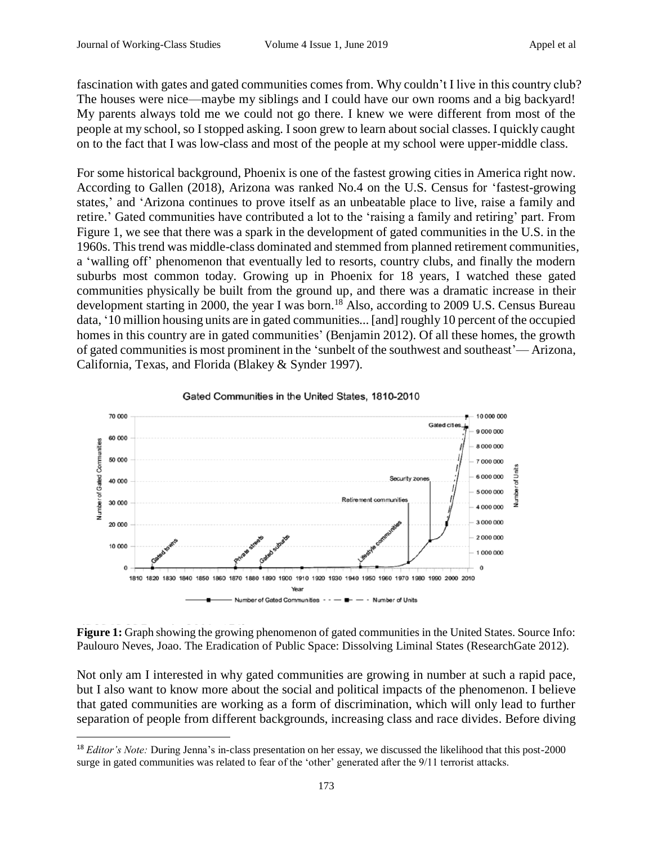$\overline{a}$ 

fascination with gates and gated communities comes from. Why couldn't I live in this country club? The houses were nice—maybe my siblings and I could have our own rooms and a big backyard! My parents always told me we could not go there. I knew we were different from most of the people at my school, so I stopped asking. I soon grew to learn about social classes. I quickly caught on to the fact that I was low-class and most of the people at my school were upper-middle class.

For some historical background, Phoenix is one of the fastest growing cities in America right now. According to Gallen (2018), Arizona was ranked No.4 on the U.S. Census for 'fastest-growing states,' and 'Arizona continues to prove itself as an unbeatable place to live, raise a family and retire.' Gated communities have contributed a lot to the 'raising a family and retiring' part. From Figure 1, we see that there was a spark in the development of gated communities in the U.S. in the 1960s. This trend was middle-class dominated and stemmed from planned retirement communities, a 'walling off' phenomenon that eventually led to resorts, country clubs, and finally the modern suburbs most common today. Growing up in Phoenix for 18 years, I watched these gated communities physically be built from the ground up, and there was a dramatic increase in their development starting in 2000, the year I was born.<sup>18</sup> Also, according to 2009 U.S. Census Bureau data, '10 million housing units are in gated communities... [and] roughly 10 percent of the occupied homes in this country are in gated communities' (Benjamin 2012). Of all these homes, the growth of gated communities is most prominent in the 'sunbelt of the southwest and southeast'— Arizona, California, Texas, and Florida (Blakey & Synder 1997).



#### Gated Communities in the United States, 1810-2010

**Figure 1:** Graph showing the growing phenomenon of gated communities in the United States. Source Info: Paulouro Neves, Joao. The Eradication of Public Space: Dissolving Liminal States (ResearchGate 2012).

Not only am I interested in why gated communities are growing in number at such a rapid pace, but I also want to know more about the social and political impacts of the phenomenon. I believe that gated communities are working as a form of discrimination, which will only lead to further separation of people from different backgrounds, increasing class and race divides. Before diving

<sup>18</sup> *Editor's Note:* During Jenna's in-class presentation on her essay, we discussed the likelihood that this post-2000 surge in gated communities was related to fear of the 'other' generated after the 9/11 terrorist attacks.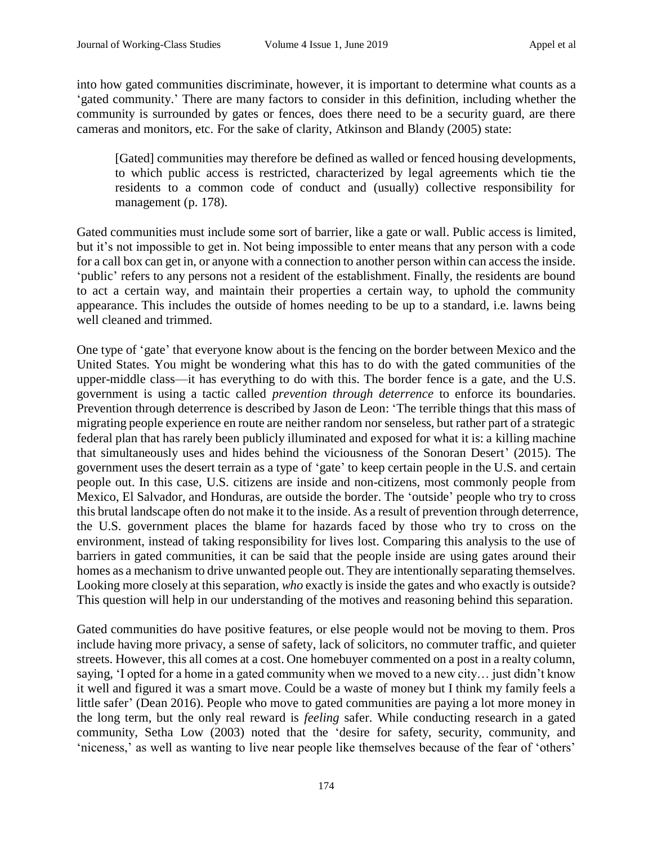into how gated communities discriminate, however, it is important to determine what counts as a 'gated community.' There are many factors to consider in this definition, including whether the community is surrounded by gates or fences, does there need to be a security guard, are there cameras and monitors, etc. For the sake of clarity, Atkinson and Blandy (2005) state:

[Gated] communities may therefore be defined as walled or fenced housing developments, to which public access is restricted, characterized by legal agreements which tie the residents to a common code of conduct and (usually) collective responsibility for management (p. 178).

Gated communities must include some sort of barrier, like a gate or wall. Public access is limited, but it's not impossible to get in. Not being impossible to enter means that any person with a code for a call box can get in, or anyone with a connection to another person within can access the inside. 'public' refers to any persons not a resident of the establishment. Finally, the residents are bound to act a certain way, and maintain their properties a certain way, to uphold the community appearance. This includes the outside of homes needing to be up to a standard, i.e. lawns being well cleaned and trimmed.

One type of 'gate' that everyone know about is the fencing on the border between Mexico and the United States. You might be wondering what this has to do with the gated communities of the upper-middle class—it has everything to do with this. The border fence is a gate, and the U.S. government is using a tactic called *prevention through deterrence* to enforce its boundaries. Prevention through deterrence is described by Jason de Leon: 'The terrible things that this mass of migrating people experience en route are neither random nor senseless, but rather part of a strategic federal plan that has rarely been publicly illuminated and exposed for what it is: a killing machine that simultaneously uses and hides behind the viciousness of the Sonoran Desert' (2015). The government uses the desert terrain as a type of 'gate' to keep certain people in the U.S. and certain people out. In this case, U.S. citizens are inside and non-citizens, most commonly people from Mexico, El Salvador, and Honduras, are outside the border. The 'outside' people who try to cross this brutal landscape often do not make it to the inside. As a result of prevention through deterrence, the U.S. government places the blame for hazards faced by those who try to cross on the environment, instead of taking responsibility for lives lost. Comparing this analysis to the use of barriers in gated communities, it can be said that the people inside are using gates around their homes as a mechanism to drive unwanted people out. They are intentionally separating themselves. Looking more closely at this separation, *who* exactly is inside the gates and who exactly is outside? This question will help in our understanding of the motives and reasoning behind this separation.

Gated communities do have positive features, or else people would not be moving to them. Pros include having more privacy, a sense of safety, lack of solicitors, no commuter traffic, and quieter streets. However, this all comes at a cost. One homebuyer commented on a post in a realty column, saying, 'I opted for a home in a gated community when we moved to a new city… just didn't know it well and figured it was a smart move. Could be a waste of money but I think my family feels a little safer' (Dean 2016). People who move to gated communities are paying a lot more money in the long term, but the only real reward is *feeling* safer. While conducting research in a gated community, Setha Low (2003) noted that the 'desire for safety, security, community, and 'niceness,' as well as wanting to live near people like themselves because of the fear of 'others'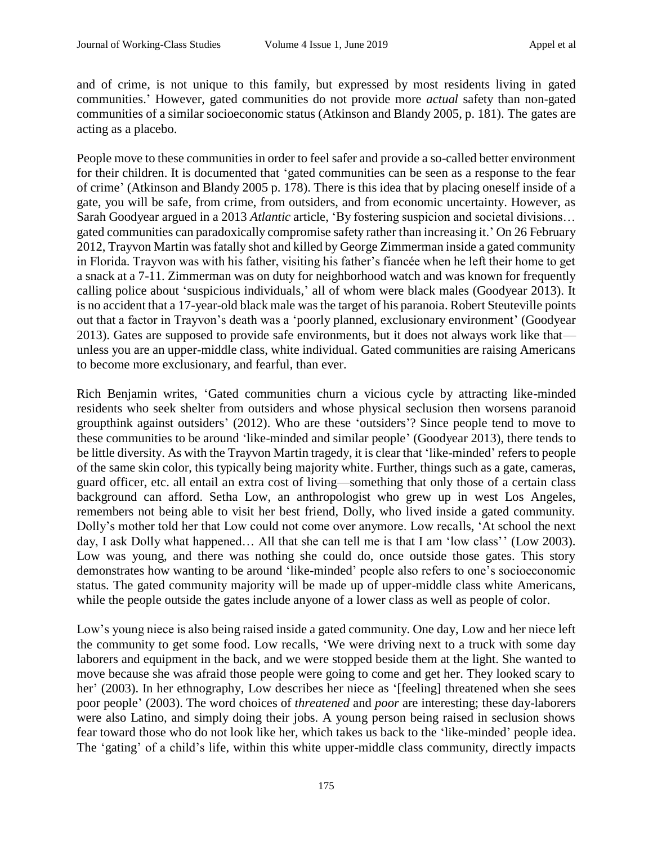and of crime, is not unique to this family, but expressed by most residents living in gated communities.' However, gated communities do not provide more *actual* safety than non-gated communities of a similar socioeconomic status (Atkinson and Blandy 2005, p. 181). The gates are acting as a placebo.

People move to these communities in order to feel safer and provide a so-called better environment for their children. It is documented that 'gated communities can be seen as a response to the fear of crime' (Atkinson and Blandy 2005 p. 178). There is this idea that by placing oneself inside of a gate, you will be safe, from crime, from outsiders, and from economic uncertainty. However, as Sarah Goodyear argued in a 2013 *Atlantic* article, 'By fostering suspicion and societal divisions… gated communities can paradoxically compromise safety rather than increasing it.' On 26 February 2012, Trayvon Martin was fatally shot and killed by George Zimmerman inside a gated community in Florida. Trayvon was with his father, visiting his father's fiancée when he left their home to get a snack at a 7-11. Zimmerman was on duty for neighborhood watch and was known for frequently calling police about 'suspicious individuals,' all of whom were black males (Goodyear 2013). It is no accident that a 17-year-old black male was the target of his paranoia. Robert Steuteville points out that a factor in Trayvon's death was a 'poorly planned, exclusionary environment' (Goodyear 2013). Gates are supposed to provide safe environments, but it does not always work like that unless you are an upper-middle class, white individual. Gated communities are raising Americans to become more exclusionary, and fearful, than ever.

Rich Benjamin writes, 'Gated communities churn a vicious cycle by attracting like-minded residents who seek shelter from outsiders and whose physical seclusion then worsens paranoid groupthink against outsiders' (2012). Who are these 'outsiders'? Since people tend to move to these communities to be around 'like-minded and similar people' (Goodyear 2013), there tends to be little diversity. As with the Trayvon Martin tragedy, it is clear that 'like-minded' refers to people of the same skin color, this typically being majority white. Further, things such as a gate, cameras, guard officer, etc. all entail an extra cost of living—something that only those of a certain class background can afford. Setha Low, an anthropologist who grew up in west Los Angeles, remembers not being able to visit her best friend, Dolly, who lived inside a gated community. Dolly's mother told her that Low could not come over anymore. Low recalls, 'At school the next day, I ask Dolly what happened… All that she can tell me is that I am 'low class'' (Low 2003). Low was young, and there was nothing she could do, once outside those gates. This story demonstrates how wanting to be around 'like-minded' people also refers to one's socioeconomic status. The gated community majority will be made up of upper-middle class white Americans, while the people outside the gates include anyone of a lower class as well as people of color.

Low's young niece is also being raised inside a gated community. One day, Low and her niece left the community to get some food. Low recalls, 'We were driving next to a truck with some day laborers and equipment in the back, and we were stopped beside them at the light. She wanted to move because she was afraid those people were going to come and get her. They looked scary to her' (2003). In her ethnography, Low describes her niece as '[feeling] threatened when she sees poor people' (2003). The word choices of *threatened* and *poor* are interesting; these day-laborers were also Latino, and simply doing their jobs. A young person being raised in seclusion shows fear toward those who do not look like her, which takes us back to the 'like-minded' people idea. The 'gating' of a child's life, within this white upper-middle class community, directly impacts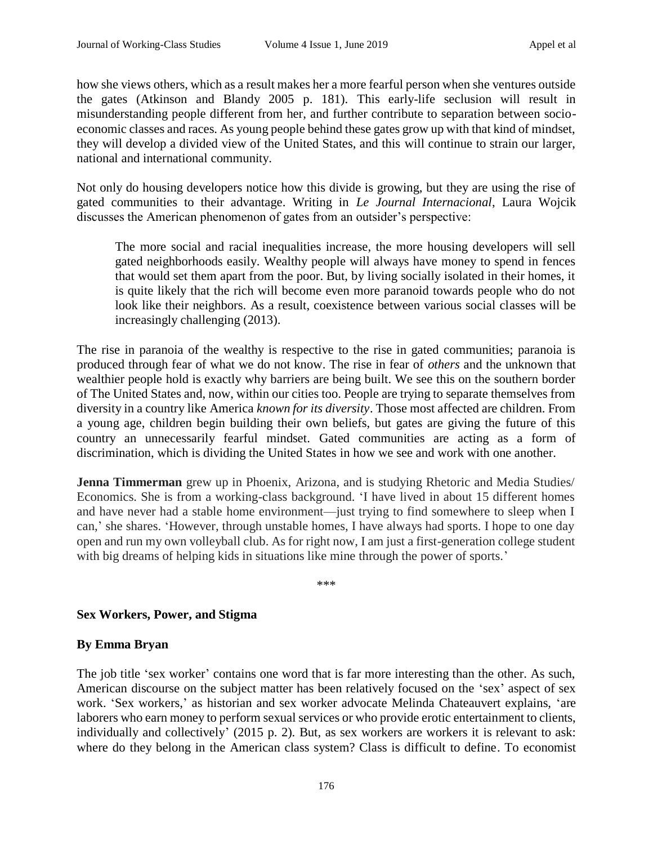how she views others, which as a result makes her a more fearful person when she ventures outside the gates (Atkinson and Blandy 2005 p. 181). This early-life seclusion will result in misunderstanding people different from her, and further contribute to separation between socioeconomic classes and races. As young people behind these gates grow up with that kind of mindset, they will develop a divided view of the United States, and this will continue to strain our larger, national and international community.

Not only do housing developers notice how this divide is growing, but they are using the rise of gated communities to their advantage. Writing in *Le Journal Internacional*, Laura Wojcik discusses the American phenomenon of gates from an outsider's perspective:

The more social and racial inequalities increase, the more housing developers will sell gated neighborhoods easily. Wealthy people will always have money to spend in fences that would set them apart from the poor. But, by living socially isolated in their homes, it is quite likely that the rich will become even more paranoid towards people who do not look like their neighbors. As a result, coexistence between various social classes will be increasingly challenging (2013).

The rise in paranoia of the wealthy is respective to the rise in gated communities; paranoia is produced through fear of what we do not know. The rise in fear of *others* and the unknown that wealthier people hold is exactly why barriers are being built. We see this on the southern border of The United States and, now, within our cities too. People are trying to separate themselves from diversity in a country like America *known for its diversity*. Those most affected are children. From a young age, children begin building their own beliefs, but gates are giving the future of this country an unnecessarily fearful mindset. Gated communities are acting as a form of discrimination, which is dividing the United States in how we see and work with one another.

**Jenna Timmerman** grew up in Phoenix, Arizona, and is studying Rhetoric and Media Studies/ Economics. She is from a working-class background. 'I have lived in about 15 different homes and have never had a stable home environment—just trying to find somewhere to sleep when I can,' she shares. 'However, through unstable homes, I have always had sports. I hope to one day open and run my own volleyball club. As for right now, I am just a first-generation college student with big dreams of helping kids in situations like mine through the power of sports.'

\*\*\*

# **Sex Workers, Power, and Stigma**

#### **By Emma Bryan**

The job title 'sex worker' contains one word that is far more interesting than the other. As such, American discourse on the subject matter has been relatively focused on the 'sex' aspect of sex work. 'Sex workers,' as historian and sex worker advocate Melinda Chateauvert explains, 'are laborers who earn money to perform sexual services or who provide erotic entertainment to clients, individually and collectively' (2015 p. 2). But, as sex workers are workers it is relevant to ask: where do they belong in the American class system? Class is difficult to define. To economist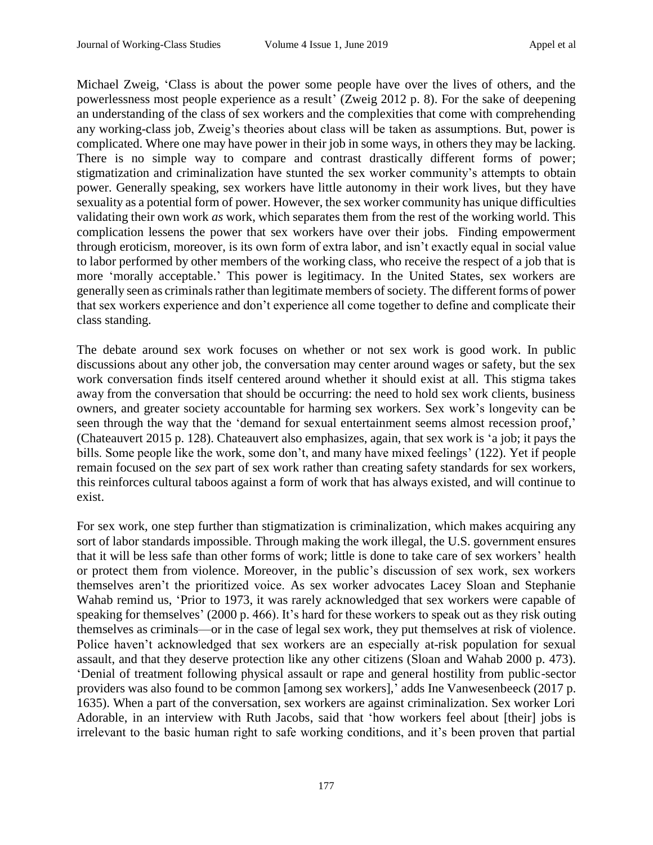Michael Zweig, 'Class is about the power some people have over the lives of others, and the powerlessness most people experience as a result' (Zweig 2012 p. 8). For the sake of deepening an understanding of the class of sex workers and the complexities that come with comprehending any working-class job, Zweig's theories about class will be taken as assumptions. But, power is complicated. Where one may have power in their job in some ways, in others they may be lacking. There is no simple way to compare and contrast drastically different forms of power; stigmatization and criminalization have stunted the sex worker community's attempts to obtain power. Generally speaking, sex workers have little autonomy in their work lives, but they have sexuality as a potential form of power. However, the sex worker community has unique difficulties validating their own work *as* work, which separates them from the rest of the working world. This complication lessens the power that sex workers have over their jobs. Finding empowerment through eroticism, moreover, is its own form of extra labor, and isn't exactly equal in social value to labor performed by other members of the working class, who receive the respect of a job that is more 'morally acceptable.' This power is legitimacy. In the United States, sex workers are generally seen as criminals rather than legitimate members of society. The different forms of power that sex workers experience and don't experience all come together to define and complicate their class standing.

The debate around sex work focuses on whether or not sex work is good work. In public discussions about any other job, the conversation may center around wages or safety, but the sex work conversation finds itself centered around whether it should exist at all. This stigma takes away from the conversation that should be occurring: the need to hold sex work clients, business owners, and greater society accountable for harming sex workers. Sex work's longevity can be seen through the way that the 'demand for sexual entertainment seems almost recession proof,' (Chateauvert 2015 p. 128). Chateauvert also emphasizes, again, that sex work is 'a job; it pays the bills. Some people like the work, some don't, and many have mixed feelings' (122). Yet if people remain focused on the *sex* part of sex work rather than creating safety standards for sex workers, this reinforces cultural taboos against a form of work that has always existed, and will continue to exist.

For sex work, one step further than stigmatization is criminalization, which makes acquiring any sort of labor standards impossible. Through making the work illegal, the U.S. government ensures that it will be less safe than other forms of work; little is done to take care of sex workers' health or protect them from violence. Moreover, in the public's discussion of sex work, sex workers themselves aren't the prioritized voice. As sex worker advocates Lacey Sloan and Stephanie Wahab remind us, 'Prior to 1973, it was rarely acknowledged that sex workers were capable of speaking for themselves' (2000 p. 466). It's hard for these workers to speak out as they risk outing themselves as criminals—or in the case of legal sex work, they put themselves at risk of violence. Police haven't acknowledged that sex workers are an especially at-risk population for sexual assault, and that they deserve protection like any other citizens (Sloan and Wahab 2000 p. 473). 'Denial of treatment following physical assault or rape and general hostility from public-sector providers was also found to be common [among sex workers],' adds Ine Vanwesenbeeck (2017 p. 1635). When a part of the conversation, sex workers are against criminalization. Sex worker Lori Adorable, in an interview with Ruth Jacobs, said that 'how workers feel about [their] jobs is irrelevant to the basic human right to safe working conditions, and it's been proven that partial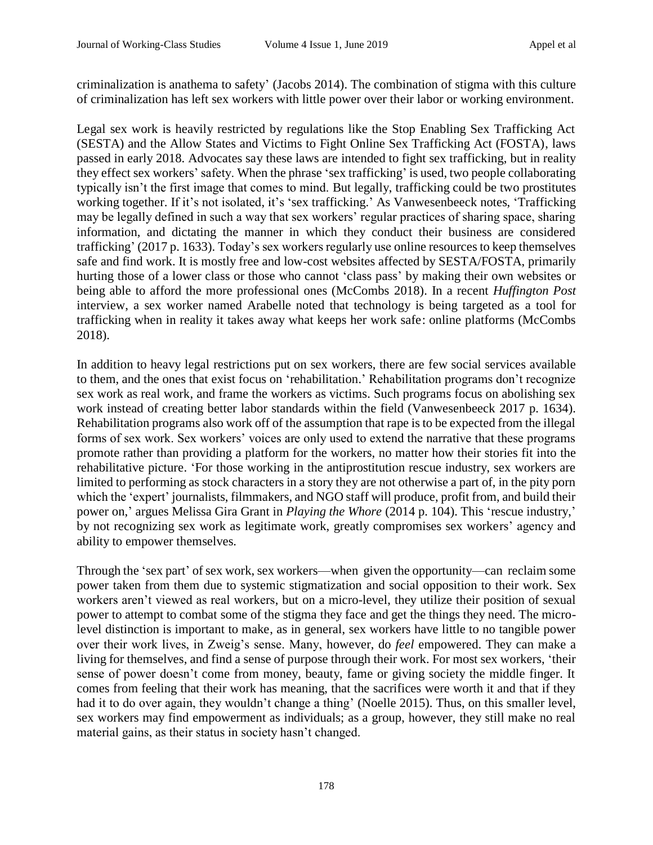criminalization is anathema to safety' (Jacobs 2014). The combination of stigma with this culture of criminalization has left sex workers with little power over their labor or working environment.

Legal sex work is heavily restricted by regulations like the Stop Enabling Sex Trafficking Act (SESTA) and the Allow States and Victims to Fight Online Sex Trafficking Act (FOSTA), laws passed in early 2018. Advocates say these laws are intended to fight sex trafficking, but in reality they effect sex workers' safety. When the phrase 'sex trafficking' is used, two people collaborating typically isn't the first image that comes to mind. But legally, trafficking could be two prostitutes working together. If it's not isolated, it's 'sex trafficking.' As Vanwesenbeeck notes, 'Trafficking may be legally defined in such a way that sex workers' regular practices of sharing space, sharing information, and dictating the manner in which they conduct their business are considered trafficking' (2017 p. 1633). Today's sex workers regularly use online resources to keep themselves safe and find work. It is mostly free and low-cost websites affected by SESTA/FOSTA, primarily hurting those of a lower class or those who cannot 'class pass' by making their own websites or being able to afford the more professional ones (McCombs 2018). In a recent *Huffington Post* interview, a sex worker named Arabelle noted that technology is being targeted as a tool for trafficking when in reality it takes away what keeps her work safe: online platforms (McCombs 2018).

In addition to heavy legal restrictions put on sex workers, there are few social services available to them, and the ones that exist focus on 'rehabilitation.' Rehabilitation programs don't recognize sex work as real work, and frame the workers as victims. Such programs focus on abolishing sex work instead of creating better labor standards within the field (Vanwesenbeeck 2017 p. 1634). Rehabilitation programs also work off of the assumption that rape is to be expected from the illegal forms of sex work. Sex workers' voices are only used to extend the narrative that these programs promote rather than providing a platform for the workers, no matter how their stories fit into the rehabilitative picture. 'For those working in the antiprostitution rescue industry, sex workers are limited to performing as stock characters in a story they are not otherwise a part of, in the pity porn which the 'expert' journalists, filmmakers, and NGO staff will produce, profit from, and build their power on,' argues Melissa Gira Grant in *Playing the Whore* (2014 p. 104). This 'rescue industry,' by not recognizing sex work as legitimate work, greatly compromises sex workers' agency and ability to empower themselves.

Through the 'sex part' of sex work, sex workers—when given the opportunity—can reclaim some power taken from them due to systemic stigmatization and social opposition to their work. Sex workers aren't viewed as real workers, but on a micro-level, they utilize their position of sexual power to attempt to combat some of the stigma they face and get the things they need. The microlevel distinction is important to make, as in general, sex workers have little to no tangible power over their work lives, in Zweig's sense. Many, however, do *feel* empowered. They can make a living for themselves, and find a sense of purpose through their work. For most sex workers, 'their sense of power doesn't come from money, beauty, fame or giving society the middle finger. It comes from feeling that their work has meaning, that the sacrifices were worth it and that if they had it to do over again, they wouldn't change a thing' (Noelle 2015). Thus, on this smaller level, sex workers may find empowerment as individuals; as a group, however, they still make no real material gains, as their status in society hasn't changed.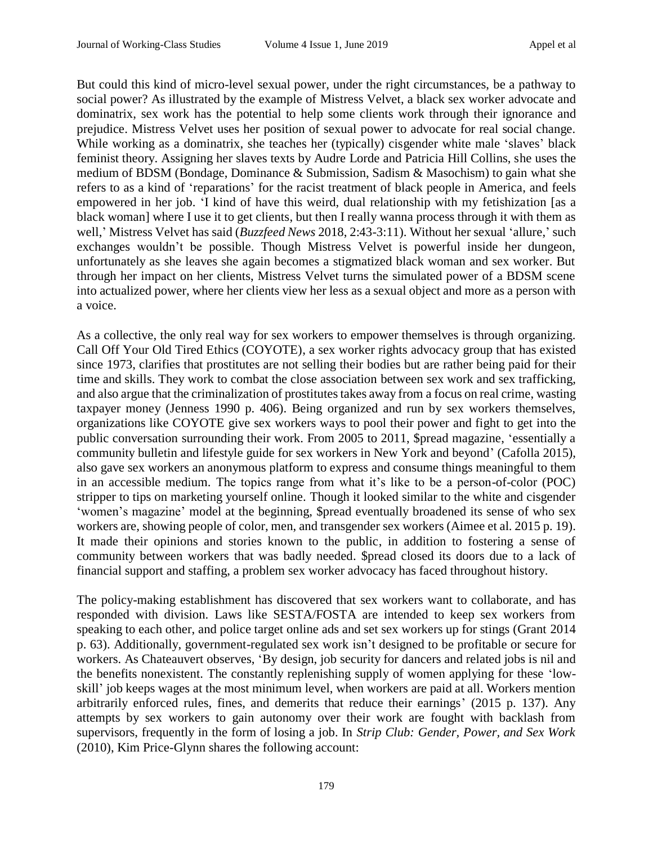But could this kind of micro-level sexual power, under the right circumstances, be a pathway to social power? As illustrated by the example of Mistress Velvet, a black sex worker advocate and dominatrix, sex work has the potential to help some clients work through their ignorance and prejudice. Mistress Velvet uses her position of sexual power to advocate for real social change. While working as a dominatrix, she teaches her (typically) cisgender white male 'slaves' black feminist theory. Assigning her slaves texts by Audre Lorde and Patricia Hill Collins, she uses the medium of BDSM (Bondage, Dominance & Submission, Sadism & Masochism) to gain what she refers to as a kind of 'reparations' for the racist treatment of black people in America, and feels empowered in her job. 'I kind of have this weird, dual relationship with my fetishization [as a black woman] where I use it to get clients, but then I really wanna process through it with them as well,' Mistress Velvet has said (*Buzzfeed News* 2018, 2:43-3:11). Without her sexual 'allure,' such exchanges wouldn't be possible. Though Mistress Velvet is powerful inside her dungeon, unfortunately as she leaves she again becomes a stigmatized black woman and sex worker. But through her impact on her clients, Mistress Velvet turns the simulated power of a BDSM scene into actualized power, where her clients view her less as a sexual object and more as a person with a voice.

As a collective, the only real way for sex workers to empower themselves is through organizing. Call Off Your Old Tired Ethics (COYOTE), a sex worker rights advocacy group that has existed since 1973, clarifies that prostitutes are not selling their bodies but are rather being paid for their time and skills. They work to combat the close association between sex work and sex trafficking, and also argue that the criminalization of prostitutes takes away from a focus on real crime, wasting taxpayer money (Jenness 1990 p. 406). Being organized and run by sex workers themselves, organizations like COYOTE give sex workers ways to pool their power and fight to get into the public conversation surrounding their work. From 2005 to 2011, \$pread magazine, 'essentially a community bulletin and lifestyle guide for sex workers in New York and beyond' (Cafolla 2015), also gave sex workers an anonymous platform to express and consume things meaningful to them in an accessible medium. The topics range from what it's like to be a person-of-color (POC) stripper to tips on marketing yourself online. Though it looked similar to the white and cisgender 'women's magazine' model at the beginning, \$pread eventually broadened its sense of who sex workers are, showing people of color, men, and transgender sex workers (Aimee et al. 2015 p. 19). It made their opinions and stories known to the public, in addition to fostering a sense of community between workers that was badly needed. \$pread closed its doors due to a lack of financial support and staffing, a problem sex worker advocacy has faced throughout history.

The policy-making establishment has discovered that sex workers want to collaborate, and has responded with division. Laws like SESTA/FOSTA are intended to keep sex workers from speaking to each other, and police target online ads and set sex workers up for stings (Grant 2014 p. 63). Additionally, government-regulated sex work isn't designed to be profitable or secure for workers. As Chateauvert observes, 'By design, job security for dancers and related jobs is nil and the benefits nonexistent. The constantly replenishing supply of women applying for these 'lowskill' job keeps wages at the most minimum level, when workers are paid at all. Workers mention arbitrarily enforced rules, fines, and demerits that reduce their earnings' (2015 p. 137). Any attempts by sex workers to gain autonomy over their work are fought with backlash from supervisors, frequently in the form of losing a job. In *Strip Club: Gender, Power, and Sex Work* (2010), Kim Price-Glynn shares the following account: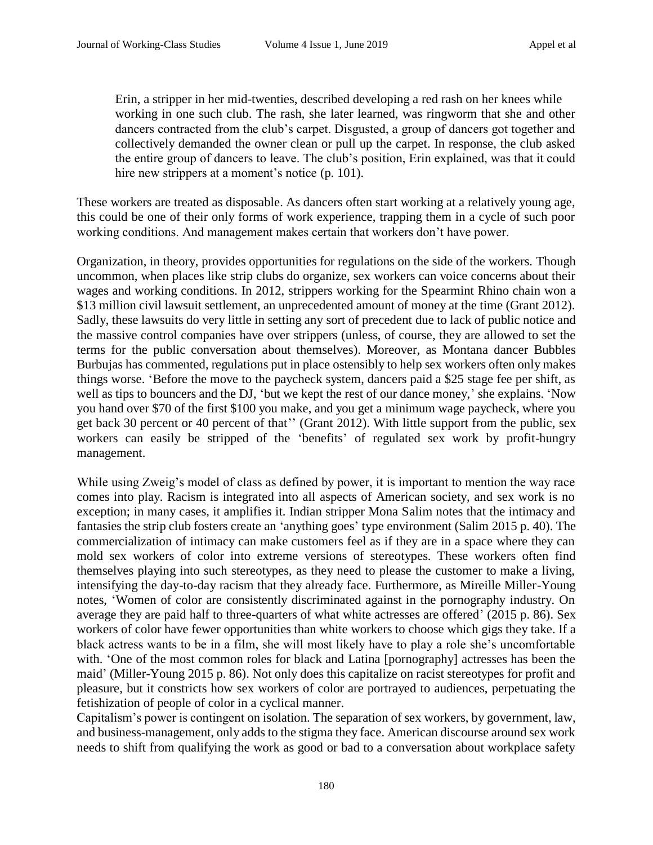Erin, a stripper in her mid-twenties, described developing a red rash on her knees while working in one such club. The rash, she later learned, was ringworm that she and other dancers contracted from the club's carpet. Disgusted, a group of dancers got together and collectively demanded the owner clean or pull up the carpet. In response, the club asked the entire group of dancers to leave. The club's position, Erin explained, was that it could hire new strippers at a moment's notice (p. 101).

These workers are treated as disposable. As dancers often start working at a relatively young age, this could be one of their only forms of work experience, trapping them in a cycle of such poor working conditions. And management makes certain that workers don't have power.

Organization, in theory, provides opportunities for regulations on the side of the workers. Though uncommon, when places like strip clubs do organize, sex workers can voice concerns about their wages and working conditions. In 2012, strippers working for the Spearmint Rhino chain won a \$13 million civil lawsuit settlement, an unprecedented amount of money at the time (Grant 2012). Sadly, these lawsuits do very little in setting any sort of precedent due to lack of public notice and the massive control companies have over strippers (unless, of course, they are allowed to set the terms for the public conversation about themselves). Moreover, as Montana dancer Bubbles Burbujas has commented, regulations put in place ostensibly to help sex workers often only makes things worse. 'Before the move to the paycheck system, dancers paid a \$25 stage fee per shift, as well as tips to bouncers and the DJ, 'but we kept the rest of our dance money,' she explains. 'Now you hand over \$70 of the first \$100 you make, and you get a minimum wage paycheck, where you get back 30 percent or 40 percent of that'' (Grant 2012). With little support from the public, sex workers can easily be stripped of the 'benefits' of regulated sex work by profit-hungry management.

While using Zweig's model of class as defined by power, it is important to mention the way race comes into play. Racism is integrated into all aspects of American society, and sex work is no exception; in many cases, it amplifies it. Indian stripper Mona Salim notes that the intimacy and fantasies the strip club fosters create an 'anything goes' type environment (Salim 2015 p. 40). The commercialization of intimacy can make customers feel as if they are in a space where they can mold sex workers of color into extreme versions of stereotypes. These workers often find themselves playing into such stereotypes, as they need to please the customer to make a living, intensifying the day-to-day racism that they already face. Furthermore, as Mireille Miller-Young notes, 'Women of color are consistently discriminated against in the pornography industry. On average they are paid half to three-quarters of what white actresses are offered' (2015 p. 86). Sex workers of color have fewer opportunities than white workers to choose which gigs they take. If a black actress wants to be in a film, she will most likely have to play a role she's uncomfortable with. 'One of the most common roles for black and Latina [pornography] actresses has been the maid' (Miller-Young 2015 p. 86). Not only does this capitalize on racist stereotypes for profit and pleasure, but it constricts how sex workers of color are portrayed to audiences, perpetuating the fetishization of people of color in a cyclical manner.

Capitalism's power is contingent on isolation. The separation of sex workers, by government, law, and business-management, only adds to the stigma they face. American discourse around sex work needs to shift from qualifying the work as good or bad to a conversation about workplace safety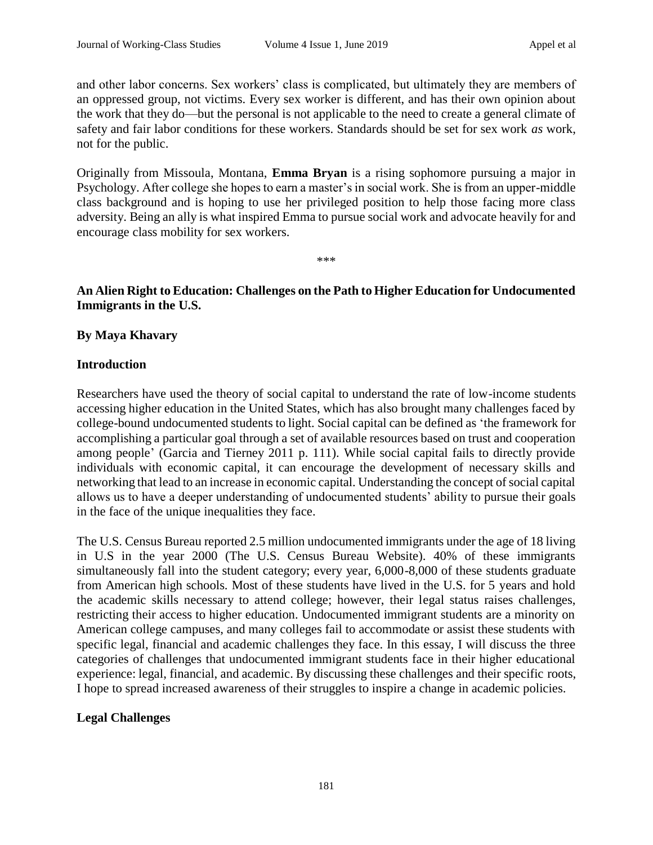and other labor concerns. Sex workers' class is complicated, but ultimately they are members of an oppressed group, not victims. Every sex worker is different, and has their own opinion about the work that they do—but the personal is not applicable to the need to create a general climate of safety and fair labor conditions for these workers. Standards should be set for sex work *as* work, not for the public.

Originally from Missoula, Montana, **Emma Bryan** is a rising sophomore pursuing a major in Psychology. After college she hopes to earn a master's in social work. She is from an upper-middle class background and is hoping to use her privileged position to help those facing more class adversity. Being an ally is what inspired Emma to pursue social work and advocate heavily for and encourage class mobility for sex workers.

\*\*\*

# **An Alien Right to Education: Challenges on the Path to Higher Education for Undocumented Immigrants in the U.S.**

# **By Maya Khavary**

# **Introduction**

Researchers have used the theory of social capital to understand the rate of low-income students accessing higher education in the United States, which has also brought many challenges faced by college-bound undocumented students to light. Social capital can be defined as 'the framework for accomplishing a particular goal through a set of available resources based on trust and cooperation among people' (Garcia and Tierney 2011 p. 111). While social capital fails to directly provide individuals with economic capital, it can encourage the development of necessary skills and networking that lead to an increase in economic capital. Understanding the concept of social capital allows us to have a deeper understanding of undocumented students' ability to pursue their goals in the face of the unique inequalities they face.

The U.S. Census Bureau reported 2.5 million undocumented immigrants under the age of 18 living in U.S in the year 2000 (The U.S. Census Bureau Website). 40% of these immigrants simultaneously fall into the student category; every year, 6,000-8,000 of these students graduate from American high schools. Most of these students have lived in the U.S. for 5 years and hold the academic skills necessary to attend college; however, their legal status raises challenges, restricting their access to higher education. Undocumented immigrant students are a minority on American college campuses, and many colleges fail to accommodate or assist these students with specific legal, financial and academic challenges they face. In this essay, I will discuss the three categories of challenges that undocumented immigrant students face in their higher educational experience: legal, financial, and academic. By discussing these challenges and their specific roots, I hope to spread increased awareness of their struggles to inspire a change in academic policies.

# **Legal Challenges**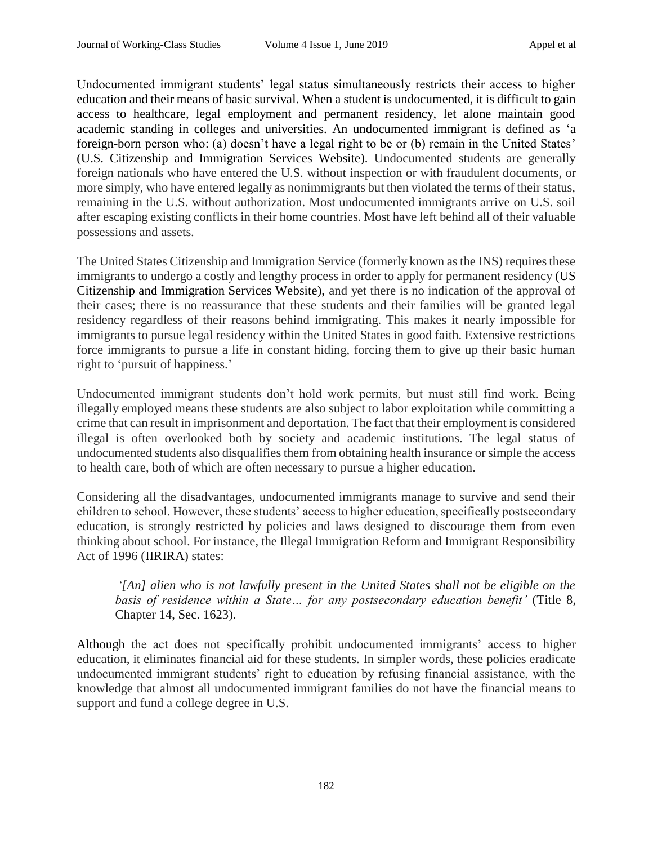Undocumented immigrant students' legal status simultaneously restricts their access to higher education and their means of basic survival. When a student is undocumented, it is difficult to gain access to healthcare, legal employment and permanent residency, let alone maintain good academic standing in colleges and universities. An undocumented immigrant is defined as 'a foreign-born person who: (a) doesn't have a legal right to be or (b) remain in the United States' (U.S. Citizenship and Immigration Services Website). Undocumented students are generally foreign nationals who have entered the U.S. without inspection or with fraudulent documents, or more simply, who have entered legally as nonimmigrants but then violated the terms of their status, remaining in the U.S. without authorization. Most undocumented immigrants arrive on U.S. soil after escaping existing conflicts in their home countries. Most have left behind all of their valuable possessions and assets.

The United States Citizenship and Immigration Service (formerly known as the INS) requires these immigrants to undergo a costly and lengthy process in order to apply for permanent residency (US Citizenship and Immigration Services Website), and yet there is no indication of the approval of their cases; there is no reassurance that these students and their families will be granted legal residency regardless of their reasons behind immigrating. This makes it nearly impossible for immigrants to pursue legal residency within the United States in good faith. Extensive restrictions force immigrants to pursue a life in constant hiding, forcing them to give up their basic human right to 'pursuit of happiness.'

Undocumented immigrant students don't hold work permits, but must still find work. Being illegally employed means these students are also subject to labor exploitation while committing a crime that can result in imprisonment and deportation. The fact that their employment is considered illegal is often overlooked both by society and academic institutions. The legal status of undocumented students also disqualifies them from obtaining health insurance or simple the access to health care, both of which are often necessary to pursue a higher education.

Considering all the disadvantages, undocumented immigrants manage to survive and send their children to school. However, these students' access to higher education, specifically postsecondary education, is strongly restricted by policies and laws designed to discourage them from even thinking about school. For instance, the Illegal Immigration Reform and Immigrant Responsibility Act of 1996 (IIRIRA) states:

'[An] alien who is not lawfully present in the United States shall not be eligible on the *basis of residence within a State… for any postsecondary education benefit'* (Title 8, Chapter 14, Sec. 1623).

Although the act does not specifically prohibit undocumented immigrants' access to higher education, it eliminates financial aid for these students. In simpler words, these policies eradicate undocumented immigrant students' right to education by refusing financial assistance, with the knowledge that almost all undocumented immigrant families do not have the financial means to support and fund a college degree in U.S.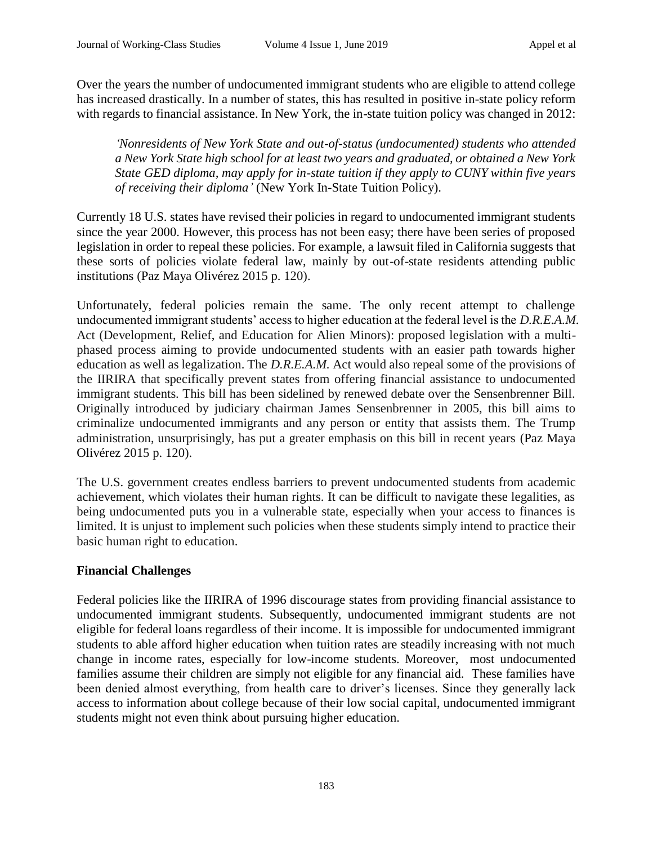Over the years the number of undocumented immigrant students who are eligible to attend college has increased drastically. In a number of states, this has resulted in positive in-state policy reform with regards to financial assistance. In New York, the in-state tuition policy was changed in 2012:

*'Nonresidents of New York State and out-of-status (undocumented) students who attended a New York State high school for at least two years and graduated, or obtained a New York State GED diploma, may apply for in-state tuition if they apply to CUNY within five years of receiving their diploma'* (New York In-State Tuition Policy).

Currently 18 U.S. states have revised their policies in regard to undocumented immigrant students since the year 2000. However, this process has not been easy; there have been series of proposed legislation in order to repeal these policies. For example, a lawsuit filed in California suggests that these sorts of policies violate federal law, mainly by out-of-state residents attending public institutions (Paz Maya Olivérez 2015 p. 120).

Unfortunately, federal policies remain the same. The only recent attempt to challenge undocumented immigrant students' access to higher education at the federal level is the *D.R.E.A.M.* Act (Development, Relief, and Education for Alien Minors): proposed legislation with a multiphased process aiming to provide undocumented students with an easier path towards higher education as well as legalization. The *D.R.E.A.M.* Act would also repeal some of the provisions of the IIRIRA that specifically prevent states from offering financial assistance to undocumented immigrant students. This bill has been sidelined by renewed debate over the Sensenbrenner Bill. Originally introduced by judiciary chairman James Sensenbrenner in 2005, this bill aims to criminalize undocumented immigrants and any person or entity that assists them. The Trump administration, unsurprisingly, has put a greater emphasis on this bill in recent years (Paz Maya Olivérez 2015 p. 120).

The U.S. government creates endless barriers to prevent undocumented students from academic achievement, which violates their human rights. It can be difficult to navigate these legalities, as being undocumented puts you in a vulnerable state, especially when your access to finances is limited. It is unjust to implement such policies when these students simply intend to practice their basic human right to education.

# **Financial Challenges**

Federal policies like the IIRIRA of 1996 discourage states from providing financial assistance to undocumented immigrant students. Subsequently, undocumented immigrant students are not eligible for federal loans regardless of their income. It is impossible for undocumented immigrant students to able afford higher education when tuition rates are steadily increasing with not much change in income rates, especially for low-income students. Moreover, most undocumented families assume their children are simply not eligible for any financial aid. These families have been denied almost everything, from health care to driver's licenses. Since they generally lack access to information about college because of their low social capital, undocumented immigrant students might not even think about pursuing higher education.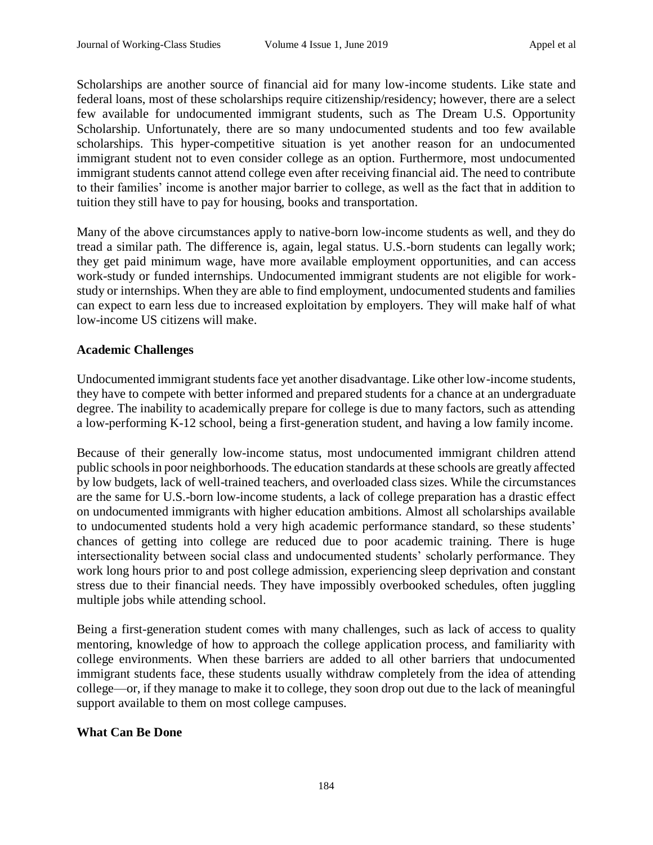Scholarships are another source of financial aid for many low-income students. Like state and federal loans, most of these scholarships require citizenship/residency; however, there are a select few available for undocumented immigrant students, such as The Dream U.S. Opportunity Scholarship. Unfortunately, there are so many undocumented students and too few available scholarships. This hyper-competitive situation is yet another reason for an undocumented immigrant student not to even consider college as an option. Furthermore, most undocumented immigrant students cannot attend college even after receiving financial aid. The need to contribute to their families' income is another major barrier to college, as well as the fact that in addition to tuition they still have to pay for housing, books and transportation.

Many of the above circumstances apply to native-born low-income students as well, and they do tread a similar path. The difference is, again, legal status. U.S.-born students can legally work; they get paid minimum wage, have more available employment opportunities, and can access work-study or funded internships. Undocumented immigrant students are not eligible for workstudy or internships. When they are able to find employment, undocumented students and families can expect to earn less due to increased exploitation by employers. They will make half of what low-income US citizens will make.

#### **Academic Challenges**

Undocumented immigrant students face yet another disadvantage. Like other low-income students, they have to compete with better informed and prepared students for a chance at an undergraduate degree. The inability to academically prepare for college is due to many factors, such as attending a low-performing K-12 school, being a first-generation student, and having a low family income.

Because of their generally low-income status, most undocumented immigrant children attend public schools in poor neighborhoods. The education standards at these schools are greatly affected by low budgets, lack of well-trained teachers, and overloaded class sizes. While the circumstances are the same for U.S.-born low-income students, a lack of college preparation has a drastic effect on undocumented immigrants with higher education ambitions. Almost all scholarships available to undocumented students hold a very high academic performance standard, so these students' chances of getting into college are reduced due to poor academic training. There is huge intersectionality between social class and undocumented students' scholarly performance. They work long hours prior to and post college admission, experiencing sleep deprivation and constant stress due to their financial needs. They have impossibly overbooked schedules, often juggling multiple jobs while attending school.

Being a first-generation student comes with many challenges, such as lack of access to quality mentoring, knowledge of how to approach the college application process, and familiarity with college environments. When these barriers are added to all other barriers that undocumented immigrant students face, these students usually withdraw completely from the idea of attending college—or, if they manage to make it to college, they soon drop out due to the lack of meaningful support available to them on most college campuses.

#### **What Can Be Done**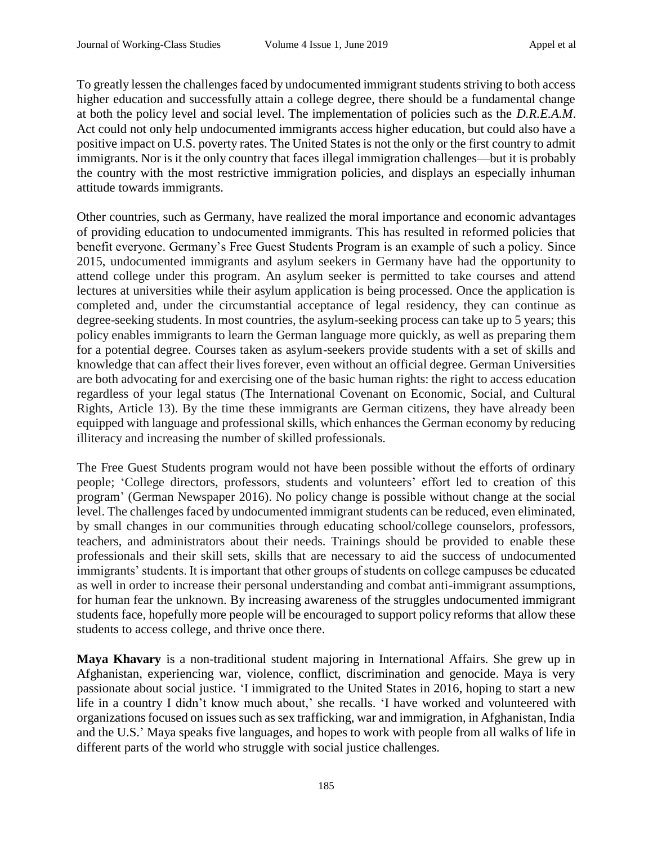To greatly lessen the challenges faced by undocumented immigrant students striving to both access higher education and successfully attain a college degree, there should be a fundamental change at both the policy level and social level. The implementation of policies such as the *D.R.E.A.M*. Act could not only help undocumented immigrants access higher education, but could also have a positive impact on U.S. poverty rates. The United States is not the only or the first country to admit immigrants. Nor is it the only country that faces illegal immigration challenges—but it is probably the country with the most restrictive immigration policies, and displays an especially inhuman attitude towards immigrants.

Other countries, such as Germany, have realized the moral importance and economic advantages of providing education to undocumented immigrants. This has resulted in reformed policies that benefit everyone. Germany's Free Guest Students Program is an example of such a policy. Since 2015, undocumented immigrants and asylum seekers in Germany have had the opportunity to attend college under this program. An asylum seeker is permitted to take courses and attend lectures at universities while their asylum application is being processed. Once the application is completed and, under the circumstantial acceptance of legal residency, they can continue as degree-seeking students. In most countries, the asylum-seeking process can take up to 5 years; this policy enables immigrants to learn the German language more quickly, as well as preparing them for a potential degree. Courses taken as asylum-seekers provide students with a set of skills and knowledge that can affect their lives forever, even without an official degree. German Universities are both advocating for and exercising one of the basic human rights: the right to access education regardless of your legal status (The International Covenant on Economic, Social, and Cultural Rights, Article 13). By the time these immigrants are German citizens, they have already been equipped with language and professional skills, which enhances the German economy by reducing illiteracy and increasing the number of skilled professionals.

The Free Guest Students program would not have been possible without the efforts of ordinary people; 'College directors, professors, students and volunteers' effort led to creation of this program' (German Newspaper 2016). No policy change is possible without change at the social level. The challenges faced by undocumented immigrant students can be reduced, even eliminated, by small changes in our communities through educating school/college counselors, professors, teachers, and administrators about their needs. Trainings should be provided to enable these professionals and their skill sets, skills that are necessary to aid the success of undocumented immigrants' students. It is important that other groups of students on college campuses be educated as well in order to increase their personal understanding and combat anti-immigrant assumptions, for human fear the unknown. By increasing awareness of the struggles undocumented immigrant students face, hopefully more people will be encouraged to support policy reforms that allow these students to access college, and thrive once there.

**Maya Khavary** is a non-traditional student majoring in International Affairs. She grew up in Afghanistan, experiencing war, violence, conflict, discrimination and genocide. Maya is very passionate about social justice. 'I immigrated to the United States in 2016, hoping to start a new life in a country I didn't know much about,' she recalls. 'I have worked and volunteered with organizations focused on issues such as sex trafficking, war and immigration, in Afghanistan, India and the U.S.' Maya speaks five languages, and hopes to work with people from all walks of life in different parts of the world who struggle with social justice challenges.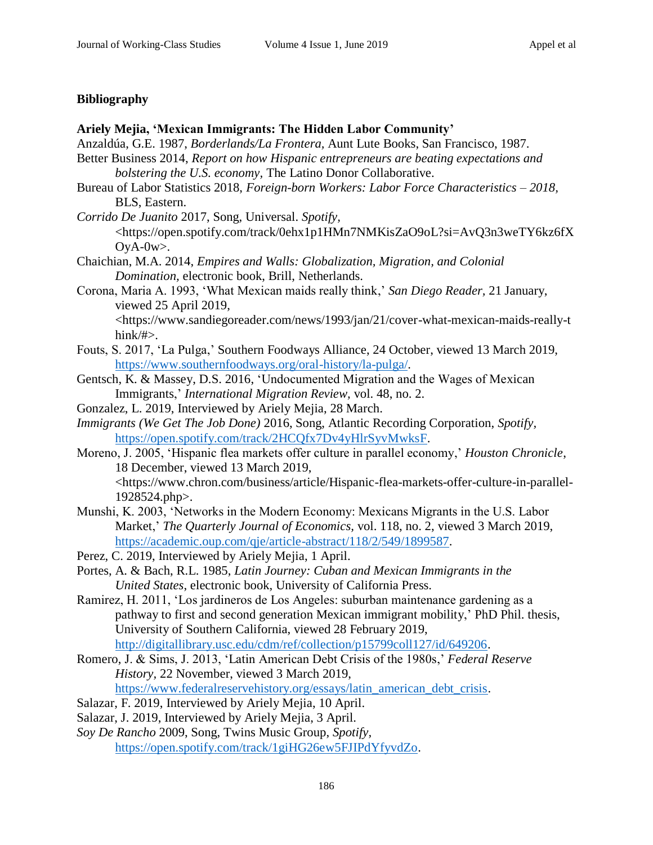## **Bibliography**

#### **Ariely Mejia, 'Mexican Immigrants: The Hidden Labor Community'**

Anzaldúa, G.E. 1987, *Borderlands/La Frontera,* Aunt Lute Books, San Francisco, 1987. Better Business 2014, *Report on how Hispanic entrepreneurs are beating expectations and* 

*bolstering the U.S. economy,* The Latino Donor Collaborative.

- Bureau of Labor Statistics 2018, *Foreign-born Workers: Labor Force Characteristics – 2018,*  BLS, Eastern.
- *Corrido De Juanito* 2017, Song, Universal. *Spotify,*  <https://open.spotify.com/track/0ehx1p1HMn7NMKisZaO9oL?si=AvQ3n3weTY6kz6fX  $OyA-0w$ .
- Chaichian, M.A. 2014, *Empires and Walls: Globalization, Migration, and Colonial Domination,* electronic book, Brill, Netherlands.
- Corona, Maria A. 1993, 'What Mexican maids really think,' *San Diego Reader,* 21 January, viewed 25 April 2019, <https://www.sandiegoreader.com/news/1993/jan/21/cover-what-mexican-maids-really-t

hink/#>.

- Fouts, S. 2017, 'La Pulga,' Southern Foodways Alliance, 24 October, viewed 13 March 2019, [https://www.southernfoodways.org/oral-history/la-pulga/.](https://www.southernfoodways.org/oral-history/la-pulga/)
- Gentsch, K. & Massey, D.S. 2016, 'Undocumented Migration and the Wages of Mexican Immigrants,' *International Migration Review,* vol. 48, no. 2.
- Gonzalez, L. 2019, Interviewed by Ariely Mejia, 28 March.
- *Immigrants (We Get The Job Done)* 2016, Song, Atlantic Recording Corporation, *Spotify,*  [https://open.spotify.com/track/2HCQfx7Dv4yHlrSyvMwksF.](https://open.spotify.com/track/2HCQfx7Dv4yHlrSyvMwksF)
- Moreno, J. 2005, 'Hispanic flea markets offer culture in parallel economy,' *Houston Chronicle*, 18 December, viewed 13 March 2019, <https://www.chron.com/business/article/Hispanic-flea-markets-offer-culture-in-parallel-1928524.php>.
- Munshi, K. 2003, 'Networks in the Modern Economy: Mexicans Migrants in the U.S. Labor Market,' *The Quarterly Journal of Economics,* vol. 118, no. 2, viewed 3 March 2019, [https://academic.oup.com/qje/article-abstract/118/2/549/1899587.](https://academic.oup.com/qje/article-abstract/118/2/549/1899587)
- Perez, C. 2019, Interviewed by Ariely Mejia, 1 April.
- Portes, A. & Bach, R.L. 1985, *Latin Journey: Cuban and Mexican Immigrants in the United States*, electronic book, University of California Press.
- Ramirez, H. 2011, 'Los jardineros de Los Angeles: suburban maintenance gardening as a pathway to first and second generation Mexican immigrant mobility,' PhD Phil. thesis, University of Southern California, viewed 28 February 2019, [http://digitallibrary.usc.edu/cdm/ref/collection/p15799coll127/id/649206.](http://digitallibrary.usc.edu/cdm/ref/collection/p15799coll127/id/649206)
- Romero, J. & Sims, J. 2013, 'Latin American Debt Crisis of the 1980s,' *Federal Reserve History,* 22 November, viewed 3 March 2019,

[https://www.federalreservehistory.org/essays/latin\\_american\\_debt\\_crisis.](https://www.federalreservehistory.org/essays/latin_american_debt_crisis)

- Salazar, F. 2019, Interviewed by Ariely Mejia, 10 April.
- Salazar, J. 2019, Interviewed by Ariely Mejia, 3 April.
- *Soy De Rancho* 2009, Song, Twins Music Group, *Spotify,* [https://open.spotify.com/track/1giHG26ew5FJIPdYfyvdZo.](https://open.spotify.com/track/1giHG26ew5FJIPdYfyvdZo)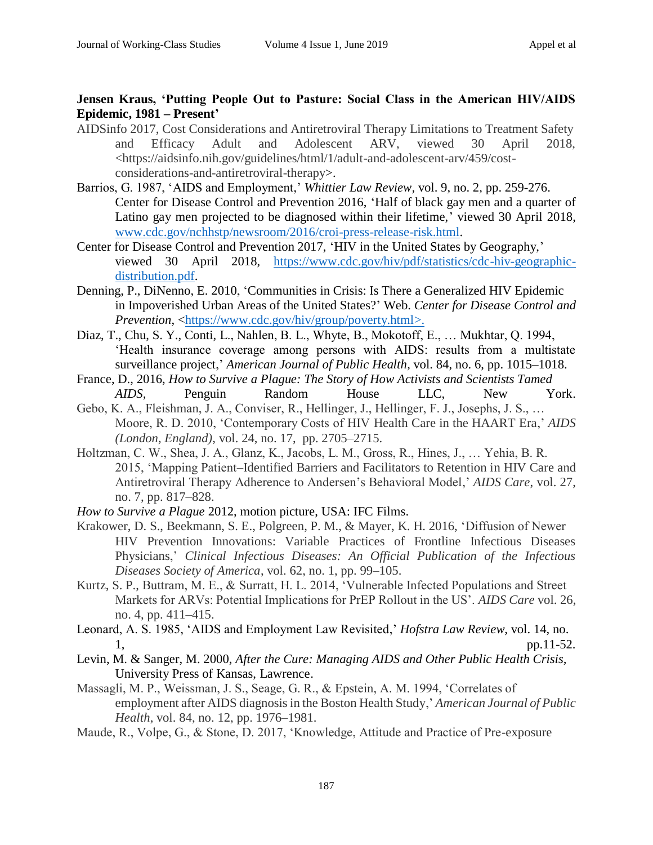## **Jensen Kraus, 'Putting People Out to Pasture: Social Class in the American HIV/AIDS Epidemic, 1981 – Present'**

- AIDSinfo 2017, Cost Considerations and Antiretroviral Therapy Limitations to Treatment Safety and Efficacy Adult and Adolescent ARV, viewed 30 April 2018, [<https://aidsinfo.nih.gov/guidelines/html/1/adult-and-adolescent-arv/459/cost](https://aidsinfo.nih.gov/guidelines/html/1/adult-and-adolescent-arv/459/cost-considerations-and-antiretroviral-therapy)[considerations-and-antiretroviral-therapy>](https://aidsinfo.nih.gov/guidelines/html/1/adult-and-adolescent-arv/459/cost-considerations-and-antiretroviral-therapy).
- Barrios, G. 1987, 'AIDS and Employment,' *Whittier Law Review,* vol. 9, no. 2*,* pp. 259-276. Center for Disease Control and Prevention 2016, 'Half of black gay men and a quarter of Latino gay men projected to be diagnosed within their lifetime,' viewed 30 April 2018, [www.cdc.gov/nchhstp/newsroom/2016/croi-press-release-risk.html.](http://www.cdc.gov/nchhstp/newsroom/2016/croi-press-release-risk.html)
- Center for Disease Control and Prevention 2017, 'HIV in the United States by Geography,' viewed 30 April 2018, [https://www.cdc.gov/hiv/pdf/statistics/cdc-hiv-geographic](https://www.cdc.gov/hiv/pdf/statistics/cdc-hiv-geographic-distribution.pdf)[distribution.pdf.](https://www.cdc.gov/hiv/pdf/statistics/cdc-hiv-geographic-distribution.pdf)
- Denning, P., DiNenno, E. 2010, 'Communities in Crisis: Is There a Generalized HIV Epidemic in Impoverished Urban Areas of the United States?' Web. *Center for Disease Control and Prevention*, [<https://www.cdc.gov/hiv/group/poverty.html>](https://www.cdc.gov/hiv/group/poverty.html).
- Diaz, T., Chu, S. Y., Conti, L., Nahlen, B. L., Whyte, B., Mokotoff, E., … Mukhtar, Q. 1994, 'Health insurance coverage among persons with AIDS: results from a multistate surveillance project,' *American Journal of Public Health,* vol. 84, no. 6, pp. 1015–1018.
- France, D., 2016, *How to Survive a Plague: The Story of How Activists and Scientists Tamed AIDS,* Penguin Random House LLC, New York.
- Gebo, K. A., Fleishman, J. A., Conviser, R., Hellinger, J., Hellinger, F. J., Josephs, J. S., … Moore, R. D. 2010, 'Contemporary Costs of HIV Health Care in the HAART Era,' *AIDS (London, England)*, vol. 24, no. 17, pp. 2705–2715.
- Holtzman, C. W., Shea, J. A., Glanz, K., Jacobs, L. M., Gross, R., Hines, J., … Yehia, B. R. 2015, 'Mapping Patient–Identified Barriers and Facilitators to Retention in HIV Care and Antiretroviral Therapy Adherence to Andersen's Behavioral Model,' *AIDS Care*, vol. 27, no. 7, pp. 817–828.
- *How to Survive a Plague* 2012, motion picture, USA: IFC Films.
- Krakower, D. S., Beekmann, S. E., Polgreen, P. M., & Mayer, K. H. 2016, 'Diffusion of Newer HIV Prevention Innovations: Variable Practices of Frontline Infectious Diseases Physicians,' *Clinical Infectious Diseases: An Official Publication of the Infectious Diseases Society of America*, vol. 62, no. 1, pp. 99–105.
- Kurtz, S. P., Buttram, M. E., & Surratt, H. L. 2014, 'Vulnerable Infected Populations and Street Markets for ARVs: Potential Implications for PrEP Rollout in the US'. *AIDS Care* vol. 26, no. 4, pp. 411–415.
- Leonard, A. S. 1985, 'AIDS and Employment Law Revisited,' *Hofstra Law Review*, vol. 14, no. 1, pp.11-52.
- Levin, M. & Sanger, M. 2000, *After the Cure: Managing AIDS and Other Public Health Crisis,* University Press of Kansas, Lawrence.
- Massagli, M. P., Weissman, J. S., Seage, G. R., & Epstein, A. M. 1994, 'Correlates of employment after AIDS diagnosis in the Boston Health Study,' *American Journal of Public Health*, vol. 84, no. 12, pp. 1976–1981.
- Maude, R., Volpe, G., & Stone, D. 2017, 'Knowledge, Attitude and Practice of Pre-exposure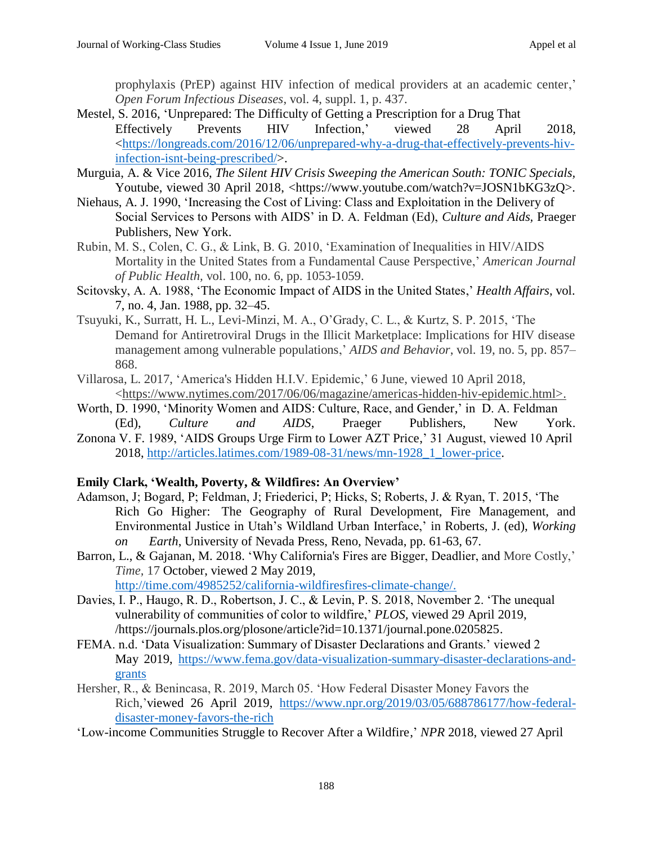prophylaxis (PrEP) against HIV infection of medical providers at an academic center,' *Open Forum Infectious Diseases*, vol. 4, suppl. 1, p. 437.

- Mestel, S. 2016, 'Unprepared: The Difficulty of Getting a Prescription for a Drug That Effectively Prevents HIV Infection,' viewed 28 April 2018, [<https://longreads.com/2016/12/06/unprepared-why-a-drug-that-effectively-prevents-hiv](https://longreads.com/2016/12/06/unprepared-why-a-drug-that-effectively-prevents-hiv-infection-isnt-being-prescribed/)[infection-isnt-being-prescribed/>](https://longreads.com/2016/12/06/unprepared-why-a-drug-that-effectively-prevents-hiv-infection-isnt-being-prescribed/).
- Murguia, A. & Vice 2016, *The Silent HIV Crisis Sweeping the American South: TONIC Specials,* Youtube, viewed 30 April 2018, <https://www.youtube.com/watch?v=JOSN1bKG3zQ>.
- Niehaus, A. J. 1990, 'Increasing the Cost of Living: Class and Exploitation in the Delivery of Social Services to Persons with AIDS' in D. A. Feldman (Ed), *Culture and Aids,* Praeger Publishers, New York.
- Rubin, M. S., Colen, C. G., & Link, B. G. 2010, 'Examination of Inequalities in HIV/AIDS Mortality in the United States from a Fundamental Cause Perspective,' *American Journal of Public Health,* vol. 100, no. 6, pp. 1053-1059.
- Scitovsky, A. A. 1988, 'The Economic Impact of AIDS in the United States,' *Health Affairs*, vol. 7, no. 4, Jan. 1988, pp. 32–45.
- Tsuyuki, K., Surratt, H. L., Levi-Minzi, M. A., O'Grady, C. L., & Kurtz, S. P. 2015, 'The Demand for Antiretroviral Drugs in the Illicit Marketplace: Implications for HIV disease management among vulnerable populations,' *AIDS and Behavior*, vol. 19, no. 5, pp. 857– 868.
- Villarosa, L. 2017, 'America's Hidden H.I.V. Epidemic,' 6 June, viewed 10 April 2018, [<https://www.nytimes.com/2017/06/06/magazine/americas-hidden-hiv-epidemic.html>.](https://www.nytimes.com/2017/06/06/magazine/americas-hidden-hiv-epidemic.html)
- Worth, D. 1990, 'Minority Women and AIDS: Culture, Race, and Gender,' in D. A. Feldman (Ed), *Culture and AIDS*, Praeger Publishers, New York.
- Zonona V. F. 1989, 'AIDS Groups Urge Firm to Lower AZT Price,' 31 August, viewed 10 April 2018, [http://articles.latimes.com/1989-08-31/news/mn-1928\\_1\\_lower-price.](http://articles.latimes.com/1989-08-31/news/mn-1928_1_lower-price)

# **Emily Clark, 'Wealth, Poverty, & Wildfires: An Overview'**

- Adamson, J; Bogard, P; Feldman, J; Friederici, P; Hicks, S; Roberts, J. & Ryan, T. 2015, 'The Rich Go Higher: The Geography of Rural Development, Fire Management, and Environmental Justice in Utah's Wildland Urban Interface,' in Roberts, J. (ed), *Working on Earth*, University of Nevada Press, Reno, Nevada, pp. 61-63, 67.
- Barron, L., & Gajanan, M. 2018. 'Why California's Fires are Bigger, Deadlier, and More Costly,' *Time,* 17 October, viewed 2 May 2019,

[http://time.com/4985252/california-wildfiresfires-climate-change/.](http://time.com/4985252/california-wildfiresfires-climate-change/)

- Davies, I. P., Haugo, R. D., Robertson, J. C., & Levin, P. S. 2018, November 2. 'The unequal vulnerability of communities of color to wildfire,' *PLOS,* viewed 29 April 2019, [/https://journals.plos.org/plosone/article?id=10.1371/journal.pone.0205825.](https://journals.plos.org/plosone/article?id=10.1371/journal.pone.0205825)
- FEMA. n.d. 'Data Visualization: Summary of Disaster Declarations and Grants.' viewed 2 May 2019, [https://www.fema.gov/data-visualization-summary-disaster-declarations-and](https://www.fema.gov/data-visualization-summary-disaster-declarations-and-grants)[grants](https://www.fema.gov/data-visualization-summary-disaster-declarations-and-grants)
- Hersher, R., & Benincasa, R. 2019, March 05. 'How Federal Disaster Money Favors the Rich,'viewed 26 April 2019, [https://www.npr.org/2019/03/05/688786177/how-federal](https://www.npr.org/2019/03/05/688786177/how-federal-disaster-money-favors-the-rich)[disaster-money-favors-the-rich](https://www.npr.org/2019/03/05/688786177/how-federal-disaster-money-favors-the-rich)
- 'Low-income Communities Struggle to Recover After a Wildfire,' *NPR* 2018, viewed 27 April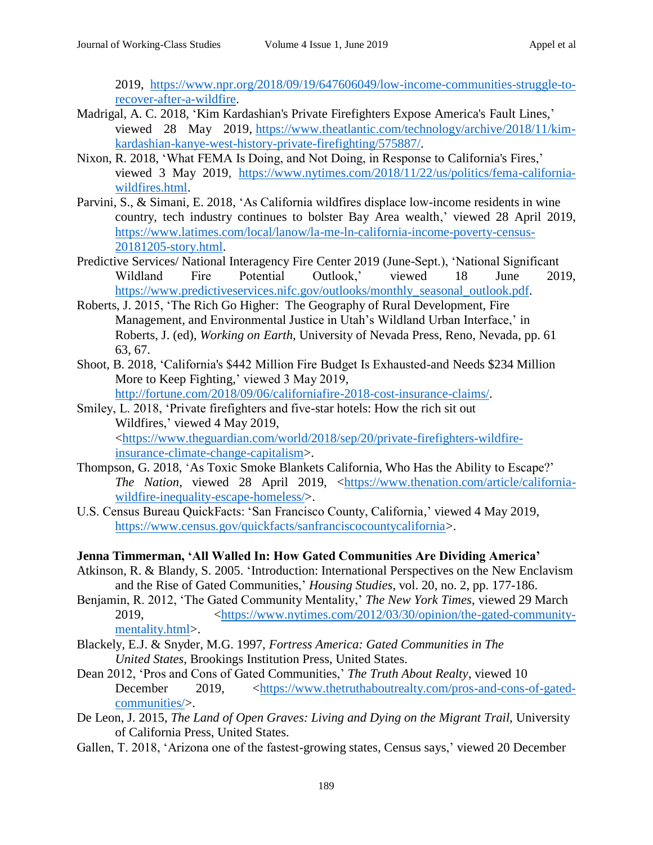2019, [https://www.npr.org/2018/09/19/647606049/low-income-communities-struggle-to](https://www.npr.org/2018/09/19/647606049/low-income-communities-struggle-to-recover-after-a-wildfire)[recover-after-a-wildfire.](https://www.npr.org/2018/09/19/647606049/low-income-communities-struggle-to-recover-after-a-wildfire)

- Madrigal, A. C. 2018, 'Kim Kardashian's Private Firefighters Expose America's Fault Lines,' viewed 28 May 2019, https://www.theatlantic.com/technology/archive/2018/11/kim[kardashian-kanye-west-history-private-firefighting/575887/.](https://www.theatlantic.com/technology/archive/2018/11/kim-kardashian-kanye-west-history-private-firefighting/575887/)
- Nixon, R. 2018, 'What FEMA Is Doing, and Not Doing, in Response to California's Fires,' viewed 3 May 2019, [https://www.nytimes.com/2018/11/22/us/politics/fema-california](https://www.nytimes.com/2018/11/22/us/politics/fema-california-wildfires.html)[wildfires.html.](https://www.nytimes.com/2018/11/22/us/politics/fema-california-wildfires.html)
- Parvini, S., & Simani, E. 2018, 'As California wildfires displace low-income residents in wine country, tech industry continues to bolster Bay Area wealth,' viewed 28 April 2019, [https://www.latimes.com/local/lanow/la-me-ln-california-income-poverty-census-](https://www.latimes.com/local/lanow/la-me-ln-california-income-poverty-census-20181205-story.html)[20181205-story.html.](https://www.latimes.com/local/lanow/la-me-ln-california-income-poverty-census-20181205-story.html)
- Predictive Services/ National Interagency Fire Center 2019 (June-Sept.), 'National Significant Wildland Fire Potential Outlook,' viewed 18 June 2019, [https://www.predictiveservices.nifc.gov/outlooks/monthly\\_seasonal\\_outlook.pdf.](https://www.predictiveservices.nifc.gov/outlooks/monthly_seasonal_outlook.pdf)
- Roberts, J. 2015, 'The Rich Go Higher: The Geography of Rural Development, Fire Management, and Environmental Justice in Utah's Wildland Urban Interface,' in Roberts, J. (ed), *Working on Earth*, University of Nevada Press, Reno, Nevada, pp. 61 63, 67.
- Shoot, B. 2018, 'California's \$442 Million Fire Budget Is Exhausted-and Needs \$234 Million More to Keep Fighting,' viewed 3 May 2019, [http://fortune.com/2018/09/06/californiafire-2018-cost-insurance-claims/.](http://fortune.com/2018/09/06/californiafire-2018-cost-insurance-claims/)
- Smiley, L. 2018, 'Private firefighters and five-star hotels: How the rich sit out Wildfires,' viewed 4 May 2019, [<https://www.theguardian.com/world/2018/sep/20/private-firefighters-wildfire](https://www.theguardian.com/world/2018/sep/20/private-firefighters-wildfire-insurance-climate-change-capitalism)[insurance-climate-change-capitalism>](https://www.theguardian.com/world/2018/sep/20/private-firefighters-wildfire-insurance-climate-change-capitalism).
- Thompson, G. 2018, 'As Toxic Smoke Blankets California, Who Has the Ability to Escape?' *The Nation,* viewed 28 April 2019, [<https://www.thenation.com/article/california](https://www.thenation.com/article/california-wildfire-inequality-escape-homeless/)[wildfire-inequality-escape-homeless/>](https://www.thenation.com/article/california-wildfire-inequality-escape-homeless/).
- U.S. Census Bureau QuickFacts: 'San Francisco County, California,' viewed 4 May 2019,< [https://www.census.gov/quickfacts/sanfranciscocountycalifornia>](https://www.census.gov/quickfacts/sanfranciscocountycalifornia).

#### **Jenna Timmerman, 'All Walled In: How Gated Communities Are Dividing America'**

- Atkinson, R. & Blandy, S. 2005. 'Introduction: International Perspectives on the New Enclavism and the Rise of Gated Communities,' *Housing Studies*, vol. 20, no. 2, pp. 177-186.
- Benjamin, R. 2012, 'The Gated Community Mentality,' *The New York Times*, viewed 29 March 2019, [<https://www.nytimes.com/2012/03/30/opinion/the-gated-community](https://www.nytimes.com/2012/03/30/opinion/the-gated-community-mentality.html)[mentality.html>](https://www.nytimes.com/2012/03/30/opinion/the-gated-community-mentality.html).
- Blackely, E.J. & Snyder, M.G. 1997, *Fortress America: Gated Communities in The United States,* Brookings Institution Press, United States.
- Dean 2012, 'Pros and Cons of Gated Communities,' *The Truth About Realty*, viewed 10 December 2019, [<https://www.thetruthaboutrealty.com/pros-and-cons-of-gated](https://www.thetruthaboutrealty.com/pros-and-cons-of-gated-communities/)[communities/>](https://www.thetruthaboutrealty.com/pros-and-cons-of-gated-communities/).
- De Leon, J. 2015, *The Land of Open Graves: Living and Dying on the Migrant Trail, University* of California Press, United States.
- Gallen, T. 2018, 'Arizona one of the fastest-growing states*,* Census says,' viewed 20 December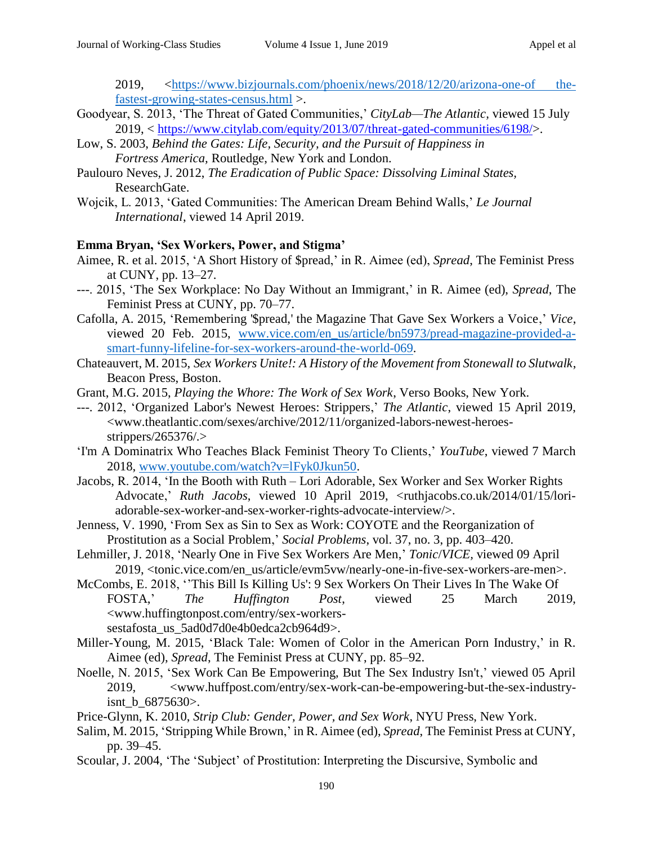2019, [<https://www.bizjournals.com/phoenix/news/2018/12/20/arizona-one-of the](https://www.bizjournals.com/phoenix/news/2018/12/20/arizona-one-of%20the-fastest-growing-states-census.html)[fastest-growing-states-census.html](https://www.bizjournals.com/phoenix/news/2018/12/20/arizona-one-of%20the-fastest-growing-states-census.html) >.

- Goodyear, S. 2013, 'The Threat of Gated Communities,' *CityLab—The Atlantic,* viewed 15 July 2019, < [https://www.citylab.com/equity/2013/07/threat-gated-communities/6198/>](https://www.citylab.com/equity/2013/07/threat-gated-communities/6198/).
- Low, S. 2003, *Behind the Gates: Life, Security, and the Pursuit of Happiness in Fortress America,* Routledge, New York and London.
- Paulouro Neves, J. 2012, *The Eradication of Public Space: Dissolving Liminal States,* ResearchGate.
- Wojcik, L. 2013, 'Gated Communities: The American Dream Behind Walls,' *Le Journal International*, viewed 14 April 2019.

#### **Emma Bryan, 'Sex Workers, Power, and Stigma'**

- Aimee, R. et al. 2015, 'A Short History of \$pread,' in R. Aimee (ed), *Spread*, The Feminist Press at CUNY, pp. 13–27.
- ---. 2015, 'The Sex Workplace: No Day Without an Immigrant,' in R. Aimee (ed), *Spread*, The Feminist Press at CUNY, pp. 70–77.
- Cafolla, A. 2015, 'Remembering '\$pread,' the Magazine That Gave Sex Workers a Voice,' *Vice*, viewed 20 Feb. 2015, [www.vice.com/en\\_us/article/bn5973/pread-magazine-provided-a](http://www.vice.com/en_us/article/bn5973/pread-magazine-provided-a-smart-funny-lifeline-for-sex-workers-around-the-world-069)[smart-funny-lifeline-for-sex-workers-around-the-world-069.](http://www.vice.com/en_us/article/bn5973/pread-magazine-provided-a-smart-funny-lifeline-for-sex-workers-around-the-world-069)
- Chateauvert, M. 2015, *Sex Workers Unite!: A History of the Movement from Stonewall to Slutwalk*, Beacon Press, Boston.
- Grant, M.G. 2015, *Playing the Whore: The Work of Sex Work*, Verso Books, New York.
- ---. 2012, 'Organized Labor's Newest Heroes: Strippers,' *The Atlantic*, viewed 15 April 2019, <www.theatlantic.com/sexes/archive/2012/11/organized-labors-newest-heroesstrippers/265376/.>
- 'I'm A Dominatrix Who Teaches Black Feminist Theory To Clients,' *YouTube*, viewed 7 March 2018, [www.youtube.com/watch?v=lFyk0Jkun50.](http://www.youtube.com/watch?v=lFyk0Jkun50)
- Jacobs, R. 2014, 'In the Booth with Ruth Lori Adorable, Sex Worker and Sex Worker Rights Advocate,' *Ruth Jacobs*, viewed 10 April 2019, <ruthjacobs.co.uk/2014/01/15/loriadorable-sex-worker-and-sex-worker-rights-advocate-interview/>.
- Jenness, V. 1990, 'From Sex as Sin to Sex as Work: COYOTE and the Reorganization of Prostitution as a Social Problem,' *Social Problems*, vol. 37, no. 3, pp. 403–420.
- Lehmiller, J. 2018, 'Nearly One in Five Sex Workers Are Men,' *Tonic*/*VICE,* viewed 09 April 2019, <tonic.vice.com/en\_us/article/evm5vw/nearly-one-in-five-sex-workers-are-men>.
- McCombs, E. 2018, ''This Bill Is Killing Us': 9 Sex Workers On Their Lives In The Wake Of FOSTA,' *The Huffington Post*, viewed 25 March 2019, <www.huffingtonpost.com/entry/sex-workerssestafosta\_us\_5ad0d7d0e4b0edca2cb964d9>.
- Miller-Young, M. 2015, 'Black Tale: Women of Color in the American Porn Industry,' in R. Aimee (ed), *Spread*, The Feminist Press at CUNY, pp. 85–92.
- Noelle, N. 2015, 'Sex Work Can Be Empowering, But The Sex Industry Isn't,' viewed 05 April 2019, <www.huffpost.com/entry/sex-work-can-be-empowering-but-the-sex-industryisnt\_b\_6875630>.

Price-Glynn, K. 2010, *Strip Club: Gender, Power, and Sex Work*, NYU Press, New York.

- Salim, M. 2015, 'Stripping While Brown,' in R. Aimee (ed), *Spread*, The Feminist Press at CUNY, pp. 39–45.
- Scoular, J. 2004, 'The 'Subject' of Prostitution: Interpreting the Discursive, Symbolic and